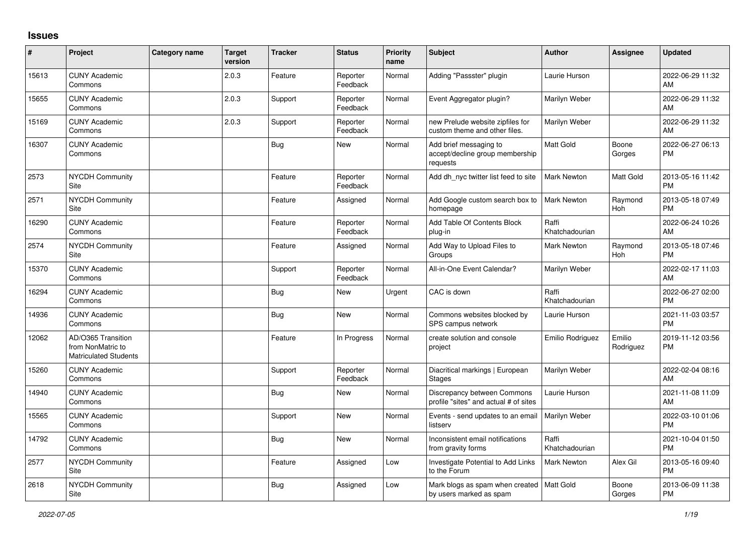## **Issues**

| #     | Project                                                                 | <b>Category name</b> | <b>Target</b><br>version | <b>Tracker</b> | <b>Status</b>        | Priority<br>name | <b>Subject</b>                                                        | <b>Author</b>           | <b>Assignee</b>       | <b>Updated</b>                |
|-------|-------------------------------------------------------------------------|----------------------|--------------------------|----------------|----------------------|------------------|-----------------------------------------------------------------------|-------------------------|-----------------------|-------------------------------|
| 15613 | <b>CUNY Academic</b><br>Commons                                         |                      | 2.0.3                    | Feature        | Reporter<br>Feedback | Normal           | Adding "Passster" plugin                                              | Laurie Hurson           |                       | 2022-06-29 11:32<br>AM        |
| 15655 | <b>CUNY Academic</b><br>Commons                                         |                      | 2.0.3                    | Support        | Reporter<br>Feedback | Normal           | Event Aggregator plugin?                                              | Marilyn Weber           |                       | 2022-06-29 11:32<br>AM        |
| 15169 | <b>CUNY Academic</b><br>Commons                                         |                      | 2.0.3                    | Support        | Reporter<br>Feedback | Normal           | new Prelude website zipfiles for<br>custom theme and other files.     | Marilyn Weber           |                       | 2022-06-29 11:32<br>AM        |
| 16307 | <b>CUNY Academic</b><br>Commons                                         |                      |                          | <b>Bug</b>     | New                  | Normal           | Add brief messaging to<br>accept/decline group membership<br>requests | Matt Gold               | Boone<br>Gorges       | 2022-06-27 06:13<br><b>PM</b> |
| 2573  | <b>NYCDH Community</b><br>Site                                          |                      |                          | Feature        | Reporter<br>Feedback | Normal           | Add dh nyc twitter list feed to site                                  | <b>Mark Newton</b>      | Matt Gold             | 2013-05-16 11:42<br><b>PM</b> |
| 2571  | NYCDH Community<br>Site                                                 |                      |                          | Feature        | Assigned             | Normal           | Add Google custom search box to<br>homepage                           | <b>Mark Newton</b>      | Raymond<br>Hoh        | 2013-05-18 07:49<br><b>PM</b> |
| 16290 | <b>CUNY Academic</b><br>Commons                                         |                      |                          | Feature        | Reporter<br>Feedback | Normal           | Add Table Of Contents Block<br>plug-in                                | Raffi<br>Khatchadourian |                       | 2022-06-24 10:26<br>AM        |
| 2574  | <b>NYCDH Community</b><br>Site                                          |                      |                          | Feature        | Assigned             | Normal           | Add Way to Upload Files to<br>Groups                                  | Mark Newton             | Raymond<br><b>Hoh</b> | 2013-05-18 07:46<br><b>PM</b> |
| 15370 | <b>CUNY Academic</b><br>Commons                                         |                      |                          | Support        | Reporter<br>Feedback | Normal           | All-in-One Event Calendar?                                            | Marilyn Weber           |                       | 2022-02-17 11:03<br>AM        |
| 16294 | <b>CUNY Academic</b><br>Commons                                         |                      |                          | Bug            | <b>New</b>           | Urgent           | CAC is down                                                           | Raffi<br>Khatchadourian |                       | 2022-06-27 02:00<br><b>PM</b> |
| 14936 | <b>CUNY Academic</b><br>Commons                                         |                      |                          | <b>Bug</b>     | <b>New</b>           | Normal           | Commons websites blocked by<br>SPS campus network                     | Laurie Hurson           |                       | 2021-11-03 03:57<br><b>PM</b> |
| 12062 | AD/O365 Transition<br>from NonMatric to<br><b>Matriculated Students</b> |                      |                          | Feature        | In Progress          | Normal           | create solution and console<br>project                                | Emilio Rodriguez        | Emilio<br>Rodriguez   | 2019-11-12 03:56<br><b>PM</b> |
| 15260 | <b>CUNY Academic</b><br>Commons                                         |                      |                          | Support        | Reporter<br>Feedback | Normal           | Diacritical markings   European<br>Stages                             | Marilyn Weber           |                       | 2022-02-04 08:16<br>AM        |
| 14940 | <b>CUNY Academic</b><br>Commons                                         |                      |                          | Bug            | <b>New</b>           | Normal           | Discrepancy between Commons<br>profile "sites" and actual # of sites  | Laurie Hurson           |                       | 2021-11-08 11:09<br>AM        |
| 15565 | <b>CUNY Academic</b><br>Commons                                         |                      |                          | Support        | <b>New</b>           | Normal           | Events - send updates to an email<br>listserv                         | Marilyn Weber           |                       | 2022-03-10 01:06<br><b>PM</b> |
| 14792 | <b>CUNY Academic</b><br>Commons                                         |                      |                          | <b>Bug</b>     | <b>New</b>           | Normal           | Inconsistent email notifications<br>from gravity forms                | Raffi<br>Khatchadourian |                       | 2021-10-04 01:50<br><b>PM</b> |
| 2577  | NYCDH Community<br>Site                                                 |                      |                          | Feature        | Assigned             | Low              | Investigate Potential to Add Links<br>to the Forum                    | <b>Mark Newton</b>      | Alex Gil              | 2013-05-16 09:40<br><b>PM</b> |
| 2618  | NYCDH Community<br>Site                                                 |                      |                          | <b>Bug</b>     | Assigned             | Low              | Mark blogs as spam when created<br>by users marked as spam            | <b>Matt Gold</b>        | Boone<br>Gorges       | 2013-06-09 11:38<br><b>PM</b> |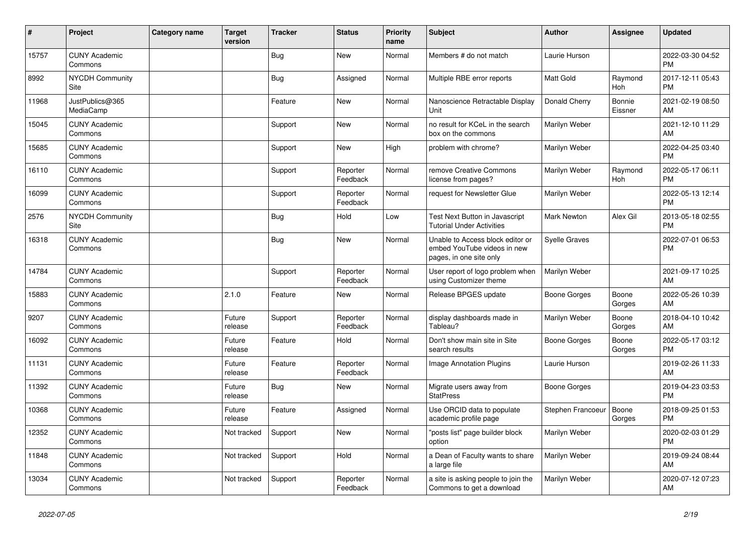| #     | Project                               | <b>Category name</b> | <b>Target</b><br>version | <b>Tracker</b> | <b>Status</b>        | <b>Priority</b><br>name | <b>Subject</b>                                                                             | <b>Author</b>        | <b>Assignee</b>   | <b>Updated</b>                |
|-------|---------------------------------------|----------------------|--------------------------|----------------|----------------------|-------------------------|--------------------------------------------------------------------------------------------|----------------------|-------------------|-------------------------------|
| 15757 | <b>CUNY Academic</b><br>Commons       |                      |                          | Bug            | New                  | Normal                  | Members # do not match                                                                     | Laurie Hurson        |                   | 2022-03-30 04:52<br><b>PM</b> |
| 8992  | <b>NYCDH Community</b><br><b>Site</b> |                      |                          | <b>Bug</b>     | Assigned             | Normal                  | Multiple RBE error reports                                                                 | <b>Matt Gold</b>     | Raymond<br>Hoh    | 2017-12-11 05:43<br><b>PM</b> |
| 11968 | JustPublics@365<br>MediaCamp          |                      |                          | Feature        | <b>New</b>           | Normal                  | Nanoscience Retractable Display<br>Unit                                                    | Donald Cherry        | Bonnie<br>Eissner | 2021-02-19 08:50<br>AM        |
| 15045 | <b>CUNY Academic</b><br>Commons       |                      |                          | Support        | New                  | Normal                  | no result for KCeL in the search<br>box on the commons                                     | Marilyn Weber        |                   | 2021-12-10 11:29<br>AM        |
| 15685 | <b>CUNY Academic</b><br>Commons       |                      |                          | Support        | <b>New</b>           | High                    | problem with chrome?                                                                       | Marilyn Weber        |                   | 2022-04-25 03:40<br><b>PM</b> |
| 16110 | <b>CUNY Academic</b><br>Commons       |                      |                          | Support        | Reporter<br>Feedback | Normal                  | remove Creative Commons<br>license from pages?                                             | Marilyn Weber        | Raymond<br>Hoh    | 2022-05-17 06:11<br><b>PM</b> |
| 16099 | <b>CUNY Academic</b><br>Commons       |                      |                          | Support        | Reporter<br>Feedback | Normal                  | request for Newsletter Glue                                                                | Marilyn Weber        |                   | 2022-05-13 12:14<br><b>PM</b> |
| 2576  | <b>NYCDH Community</b><br>Site        |                      |                          | <b>Bug</b>     | Hold                 | Low                     | Test Next Button in Javascript<br><b>Tutorial Under Activities</b>                         | <b>Mark Newton</b>   | Alex Gil          | 2013-05-18 02:55<br><b>PM</b> |
| 16318 | <b>CUNY Academic</b><br>Commons       |                      |                          | Bug            | <b>New</b>           | Normal                  | Unable to Access block editor or<br>embed YouTube videos in new<br>pages, in one site only | <b>Syelle Graves</b> |                   | 2022-07-01 06:53<br><b>PM</b> |
| 14784 | <b>CUNY Academic</b><br>Commons       |                      |                          | Support        | Reporter<br>Feedback | Normal                  | User report of logo problem when<br>using Customizer theme                                 | Marilyn Weber        |                   | 2021-09-17 10:25<br>AM        |
| 15883 | <b>CUNY Academic</b><br>Commons       |                      | 2.1.0                    | Feature        | <b>New</b>           | Normal                  | Release BPGES update                                                                       | Boone Gorges         | Boone<br>Gorges   | 2022-05-26 10:39<br>AM        |
| 9207  | <b>CUNY Academic</b><br>Commons       |                      | Future<br>release        | Support        | Reporter<br>Feedback | Normal                  | display dashboards made in<br>Tableau?                                                     | Marilyn Weber        | Boone<br>Gorges   | 2018-04-10 10:42<br>AM        |
| 16092 | <b>CUNY Academic</b><br>Commons       |                      | Future<br>release        | Feature        | Hold                 | Normal                  | Don't show main site in Site<br>search results                                             | Boone Gorges         | Boone<br>Gorges   | 2022-05-17 03:12<br><b>PM</b> |
| 11131 | <b>CUNY Academic</b><br>Commons       |                      | Future<br>release        | Feature        | Reporter<br>Feedback | Normal                  | <b>Image Annotation Plugins</b>                                                            | Laurie Hurson        |                   | 2019-02-26 11:33<br>AM        |
| 11392 | <b>CUNY Academic</b><br>Commons       |                      | Future<br>release        | Bug            | New                  | Normal                  | Migrate users away from<br><b>StatPress</b>                                                | Boone Gorges         |                   | 2019-04-23 03:53<br><b>PM</b> |
| 10368 | <b>CUNY Academic</b><br>Commons       |                      | Future<br>release        | Feature        | Assigned             | Normal                  | Use ORCID data to populate<br>academic profile page                                        | Stephen Francoeur    | Boone<br>Gorges   | 2018-09-25 01:53<br><b>PM</b> |
| 12352 | <b>CUNY Academic</b><br>Commons       |                      | Not tracked              | Support        | <b>New</b>           | Normal                  | "posts list" page builder block<br>option                                                  | Marilyn Weber        |                   | 2020-02-03 01:29<br><b>PM</b> |
| 11848 | <b>CUNY Academic</b><br>Commons       |                      | Not tracked              | Support        | Hold                 | Normal                  | a Dean of Faculty wants to share<br>a large file                                           | Marilyn Weber        |                   | 2019-09-24 08:44<br>AM        |
| 13034 | <b>CUNY Academic</b><br>Commons       |                      | Not tracked              | Support        | Reporter<br>Feedback | Normal                  | a site is asking people to join the<br>Commons to get a download                           | Marilyn Weber        |                   | 2020-07-12 07:23<br>AM        |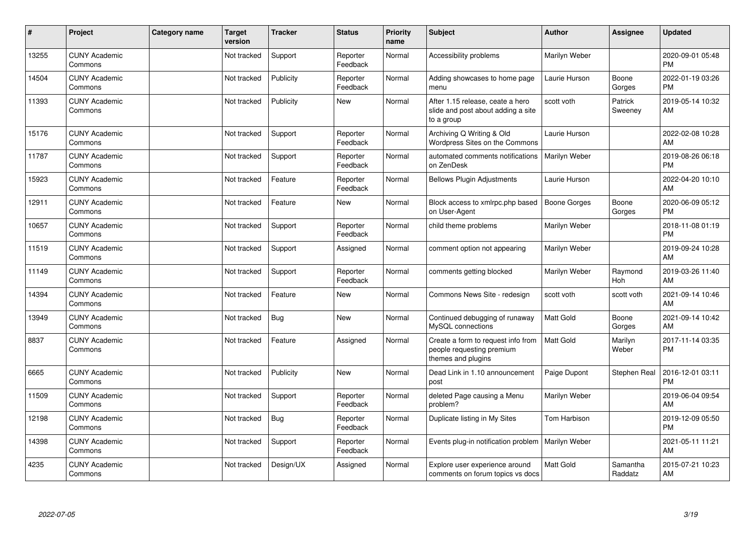| ∦     | Project                         | Category name | <b>Target</b><br>version | <b>Tracker</b> | <b>Status</b>        | <b>Priority</b><br>name | <b>Subject</b>                                                                        | <b>Author</b>       | <b>Assignee</b>     | <b>Updated</b>                |
|-------|---------------------------------|---------------|--------------------------|----------------|----------------------|-------------------------|---------------------------------------------------------------------------------------|---------------------|---------------------|-------------------------------|
| 13255 | <b>CUNY Academic</b><br>Commons |               | Not tracked              | Support        | Reporter<br>Feedback | Normal                  | Accessibility problems                                                                | Marilyn Weber       |                     | 2020-09-01 05:48<br><b>PM</b> |
| 14504 | <b>CUNY Academic</b><br>Commons |               | Not tracked              | Publicity      | Reporter<br>Feedback | Normal                  | Adding showcases to home page<br>menu                                                 | Laurie Hurson       | Boone<br>Gorges     | 2022-01-19 03:26<br><b>PM</b> |
| 11393 | <b>CUNY Academic</b><br>Commons |               | Not tracked              | Publicity      | <b>New</b>           | Normal                  | After 1.15 release, ceate a hero<br>slide and post about adding a site<br>to a group  | scott voth          | Patrick<br>Sweeney  | 2019-05-14 10:32<br>AM        |
| 15176 | <b>CUNY Academic</b><br>Commons |               | Not tracked              | Support        | Reporter<br>Feedback | Normal                  | Archiving Q Writing & Old<br>Wordpress Sites on the Commons                           | Laurie Hurson       |                     | 2022-02-08 10:28<br>AM        |
| 11787 | <b>CUNY Academic</b><br>Commons |               | Not tracked              | Support        | Reporter<br>Feedback | Normal                  | automated comments notifications<br>on ZenDesk                                        | Marilyn Weber       |                     | 2019-08-26 06:18<br><b>PM</b> |
| 15923 | <b>CUNY Academic</b><br>Commons |               | Not tracked              | Feature        | Reporter<br>Feedback | Normal                  | <b>Bellows Plugin Adjustments</b>                                                     | Laurie Hurson       |                     | 2022-04-20 10:10<br>AM        |
| 12911 | <b>CUNY Academic</b><br>Commons |               | Not tracked              | Feature        | <b>New</b>           | Normal                  | Block access to xmlrpc.php based<br>on User-Agent                                     | <b>Boone Gorges</b> | Boone<br>Gorges     | 2020-06-09 05:12<br><b>PM</b> |
| 10657 | <b>CUNY Academic</b><br>Commons |               | Not tracked              | Support        | Reporter<br>Feedback | Normal                  | child theme problems                                                                  | Marilyn Weber       |                     | 2018-11-08 01:19<br><b>PM</b> |
| 11519 | <b>CUNY Academic</b><br>Commons |               | Not tracked              | Support        | Assigned             | Normal                  | comment option not appearing                                                          | Marilyn Weber       |                     | 2019-09-24 10:28<br>AM        |
| 11149 | <b>CUNY Academic</b><br>Commons |               | Not tracked              | Support        | Reporter<br>Feedback | Normal                  | comments getting blocked                                                              | Marilyn Weber       | Raymond<br>Hoh      | 2019-03-26 11:40<br>AM        |
| 14394 | <b>CUNY Academic</b><br>Commons |               | Not tracked              | Feature        | New                  | Normal                  | Commons News Site - redesign                                                          | scott voth          | scott voth          | 2021-09-14 10:46<br>AM        |
| 13949 | <b>CUNY Academic</b><br>Commons |               | Not tracked              | Bug            | <b>New</b>           | Normal                  | Continued debugging of runaway<br>MySQL connections                                   | <b>Matt Gold</b>    | Boone<br>Gorges     | 2021-09-14 10:42<br>AM        |
| 8837  | <b>CUNY Academic</b><br>Commons |               | Not tracked              | Feature        | Assigned             | Normal                  | Create a form to request info from<br>people requesting premium<br>themes and plugins | <b>Matt Gold</b>    | Marilyn<br>Weber    | 2017-11-14 03:35<br><b>PM</b> |
| 6665  | <b>CUNY Academic</b><br>Commons |               | Not tracked              | Publicity      | New                  | Normal                  | Dead Link in 1.10 announcement<br>post                                                | Paige Dupont        | Stephen Real        | 2016-12-01 03:11<br><b>PM</b> |
| 11509 | <b>CUNY Academic</b><br>Commons |               | Not tracked              | Support        | Reporter<br>Feedback | Normal                  | deleted Page causing a Menu<br>problem?                                               | Marilyn Weber       |                     | 2019-06-04 09:54<br>AM        |
| 12198 | <b>CUNY Academic</b><br>Commons |               | Not tracked              | <b>Bug</b>     | Reporter<br>Feedback | Normal                  | Duplicate listing in My Sites                                                         | <b>Tom Harbison</b> |                     | 2019-12-09 05:50<br><b>PM</b> |
| 14398 | <b>CUNY Academic</b><br>Commons |               | Not tracked              | Support        | Reporter<br>Feedback | Normal                  | Events plug-in notification problem                                                   | Marilyn Weber       |                     | 2021-05-11 11:21<br>AM        |
| 4235  | <b>CUNY Academic</b><br>Commons |               | Not tracked              | Design/UX      | Assigned             | Normal                  | Explore user experience around<br>comments on forum topics vs docs                    | <b>Matt Gold</b>    | Samantha<br>Raddatz | 2015-07-21 10:23<br>AM        |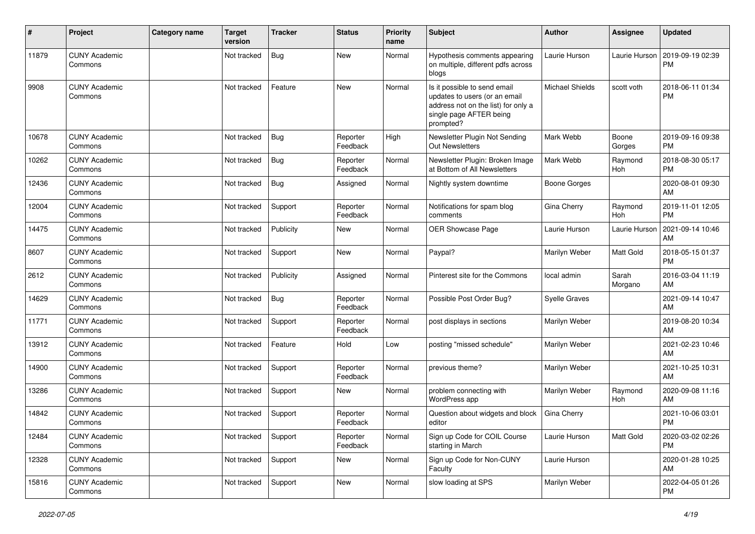| #     | Project                         | Category name | <b>Target</b><br>version | <b>Tracker</b> | <b>Status</b>        | Priority<br>name | Subject                                                                                                                                      | Author                 | <b>Assignee</b>  | <b>Updated</b>                |
|-------|---------------------------------|---------------|--------------------------|----------------|----------------------|------------------|----------------------------------------------------------------------------------------------------------------------------------------------|------------------------|------------------|-------------------------------|
| 11879 | <b>CUNY Academic</b><br>Commons |               | Not tracked              | Bug            | <b>New</b>           | Normal           | Hypothesis comments appearing<br>on multiple, different pdfs across<br>blogs                                                                 | Laurie Hurson          | Laurie Hurson    | 2019-09-19 02:39<br><b>PM</b> |
| 9908  | <b>CUNY Academic</b><br>Commons |               | Not tracked              | Feature        | <b>New</b>           | Normal           | Is it possible to send email<br>updates to users (or an email<br>address not on the list) for only a<br>single page AFTER being<br>prompted? | <b>Michael Shields</b> | scott voth       | 2018-06-11 01:34<br><b>PM</b> |
| 10678 | <b>CUNY Academic</b><br>Commons |               | Not tracked              | Bug            | Reporter<br>Feedback | High             | Newsletter Plugin Not Sending<br><b>Out Newsletters</b>                                                                                      | Mark Webb              | Boone<br>Gorges  | 2019-09-16 09:38<br><b>PM</b> |
| 10262 | <b>CUNY Academic</b><br>Commons |               | Not tracked              | Bug            | Reporter<br>Feedback | Normal           | Newsletter Plugin: Broken Image<br>at Bottom of All Newsletters                                                                              | Mark Webb              | Raymond<br>Hoh   | 2018-08-30 05:17<br><b>PM</b> |
| 12436 | <b>CUNY Academic</b><br>Commons |               | Not tracked              | Bug            | Assigned             | Normal           | Nightly system downtime                                                                                                                      | <b>Boone Gorges</b>    |                  | 2020-08-01 09:30<br>AM        |
| 12004 | <b>CUNY Academic</b><br>Commons |               | Not tracked              | Support        | Reporter<br>Feedback | Normal           | Notifications for spam blog<br>comments                                                                                                      | Gina Cherry            | Raymond<br>Hoh   | 2019-11-01 12:05<br><b>PM</b> |
| 14475 | <b>CUNY Academic</b><br>Commons |               | Not tracked              | Publicity      | New                  | Normal           | OER Showcase Page                                                                                                                            | Laurie Hurson          | Laurie Hurson    | 2021-09-14 10:46<br>AM        |
| 8607  | <b>CUNY Academic</b><br>Commons |               | Not tracked              | Support        | <b>New</b>           | Normal           | Paypal?                                                                                                                                      | Marilyn Weber          | Matt Gold        | 2018-05-15 01:37<br><b>PM</b> |
| 2612  | <b>CUNY Academic</b><br>Commons |               | Not tracked              | Publicity      | Assigned             | Normal           | Pinterest site for the Commons                                                                                                               | local admin            | Sarah<br>Morgano | 2016-03-04 11:19<br>AM        |
| 14629 | <b>CUNY Academic</b><br>Commons |               | Not tracked              | Bug            | Reporter<br>Feedback | Normal           | Possible Post Order Bug?                                                                                                                     | <b>Syelle Graves</b>   |                  | 2021-09-14 10:47<br>AM        |
| 11771 | <b>CUNY Academic</b><br>Commons |               | Not tracked              | Support        | Reporter<br>Feedback | Normal           | post displays in sections                                                                                                                    | Marilyn Weber          |                  | 2019-08-20 10:34<br>AM        |
| 13912 | <b>CUNY Academic</b><br>Commons |               | Not tracked              | Feature        | Hold                 | Low              | posting "missed schedule"                                                                                                                    | Marilyn Weber          |                  | 2021-02-23 10:46<br>AM        |
| 14900 | <b>CUNY Academic</b><br>Commons |               | Not tracked              | Support        | Reporter<br>Feedback | Normal           | previous theme?                                                                                                                              | Marilyn Weber          |                  | 2021-10-25 10:31<br>AM        |
| 13286 | <b>CUNY Academic</b><br>Commons |               | Not tracked              | Support        | New                  | Normal           | problem connecting with<br>WordPress app                                                                                                     | Marilyn Weber          | Raymond<br>Hoh   | 2020-09-08 11:16<br>AM        |
| 14842 | CUNY Academic<br>Commons        |               | Not tracked              | Support        | Reporter<br>Feedback | Normal           | Question about widgets and block<br>editor                                                                                                   | Gina Cherry            |                  | 2021-10-06 03:01<br><b>PM</b> |
| 12484 | <b>CUNY Academic</b><br>Commons |               | Not tracked              | Support        | Reporter<br>Feedback | Normal           | Sign up Code for COIL Course<br>starting in March                                                                                            | Laurie Hurson          | Matt Gold        | 2020-03-02 02:26<br><b>PM</b> |
| 12328 | <b>CUNY Academic</b><br>Commons |               | Not tracked              | Support        | New                  | Normal           | Sign up Code for Non-CUNY<br>Faculty                                                                                                         | Laurie Hurson          |                  | 2020-01-28 10:25<br>AM        |
| 15816 | <b>CUNY Academic</b><br>Commons |               | Not tracked              | Support        | New                  | Normal           | slow loading at SPS                                                                                                                          | Marilyn Weber          |                  | 2022-04-05 01:26<br>PM        |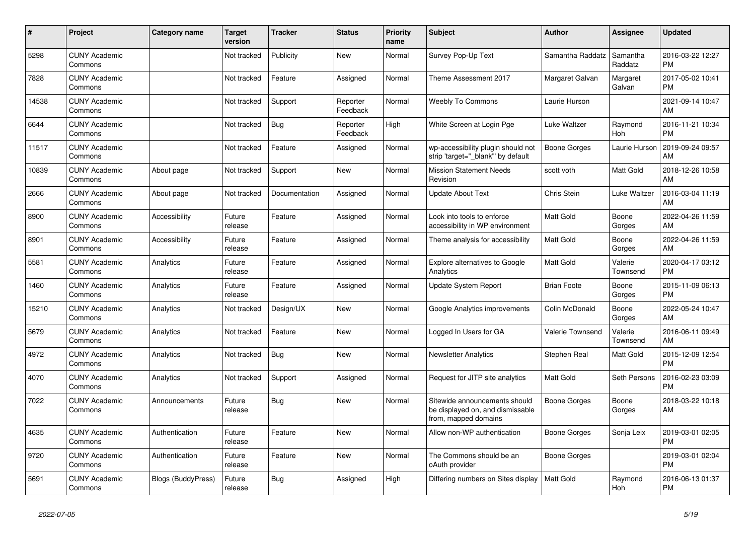| #     | <b>Project</b>                  | Category name      | <b>Target</b><br>version | <b>Tracker</b> | <b>Status</b>        | Priority<br>name | <b>Subject</b>                                                                            | <b>Author</b>       | <b>Assignee</b>     | <b>Updated</b>                |
|-------|---------------------------------|--------------------|--------------------------|----------------|----------------------|------------------|-------------------------------------------------------------------------------------------|---------------------|---------------------|-------------------------------|
| 5298  | <b>CUNY Academic</b><br>Commons |                    | Not tracked              | Publicity      | New                  | Normal           | Survey Pop-Up Text                                                                        | Samantha Raddatz    | Samantha<br>Raddatz | 2016-03-22 12:27<br><b>PM</b> |
| 7828  | <b>CUNY Academic</b><br>Commons |                    | Not tracked              | Feature        | Assigned             | Normal           | Theme Assessment 2017                                                                     | Margaret Galvan     | Margaret<br>Galvan  | 2017-05-02 10:41<br><b>PM</b> |
| 14538 | <b>CUNY Academic</b><br>Commons |                    | Not tracked              | Support        | Reporter<br>Feedback | Normal           | Weebly To Commons                                                                         | Laurie Hurson       |                     | 2021-09-14 10:47<br>AM        |
| 6644  | <b>CUNY Academic</b><br>Commons |                    | Not tracked              | Bug            | Reporter<br>Feedback | High             | White Screen at Login Pge                                                                 | Luke Waltzer        | Raymond<br>Hoh      | 2016-11-21 10:34<br><b>PM</b> |
| 11517 | <b>CUNY Academic</b><br>Commons |                    | Not tracked              | Feature        | Assigned             | Normal           | wp-accessibility plugin should not<br>strip 'target=" blank" by default                   | <b>Boone Gorges</b> | Laurie Hurson       | 2019-09-24 09:57<br>AM        |
| 10839 | <b>CUNY Academic</b><br>Commons | About page         | Not tracked              | Support        | New                  | Normal           | <b>Mission Statement Needs</b><br>Revision                                                | scott voth          | Matt Gold           | 2018-12-26 10:58<br>AM        |
| 2666  | <b>CUNY Academic</b><br>Commons | About page         | Not tracked              | Documentation  | Assigned             | Normal           | <b>Update About Text</b>                                                                  | Chris Stein         | Luke Waltzer        | 2016-03-04 11:19<br>AM        |
| 8900  | <b>CUNY Academic</b><br>Commons | Accessibility      | Future<br>release        | Feature        | Assigned             | Normal           | Look into tools to enforce<br>accessibility in WP environment                             | <b>Matt Gold</b>    | Boone<br>Gorges     | 2022-04-26 11:59<br>AM        |
| 8901  | <b>CUNY Academic</b><br>Commons | Accessibility      | Future<br>release        | Feature        | Assigned             | Normal           | Theme analysis for accessibility                                                          | Matt Gold           | Boone<br>Gorges     | 2022-04-26 11:59<br>AM        |
| 5581  | <b>CUNY Academic</b><br>Commons | Analytics          | Future<br>release        | Feature        | Assigned             | Normal           | Explore alternatives to Google<br>Analytics                                               | <b>Matt Gold</b>    | Valerie<br>Townsend | 2020-04-17 03:12<br><b>PM</b> |
| 1460  | <b>CUNY Academic</b><br>Commons | Analytics          | Future<br>release        | Feature        | Assigned             | Normal           | <b>Update System Report</b>                                                               | <b>Brian Foote</b>  | Boone<br>Gorges     | 2015-11-09 06:13<br><b>PM</b> |
| 15210 | <b>CUNY Academic</b><br>Commons | Analytics          | Not tracked              | Design/UX      | New                  | Normal           | Google Analytics improvements                                                             | Colin McDonald      | Boone<br>Gorges     | 2022-05-24 10:47<br>AM        |
| 5679  | <b>CUNY Academic</b><br>Commons | Analytics          | Not tracked              | Feature        | New                  | Normal           | Logged In Users for GA                                                                    | Valerie Townsend    | Valerie<br>Townsend | 2016-06-11 09:49<br>AM        |
| 4972  | <b>CUNY Academic</b><br>Commons | Analytics          | Not tracked              | <b>Bug</b>     | <b>New</b>           | Normal           | <b>Newsletter Analytics</b>                                                               | Stephen Real        | Matt Gold           | 2015-12-09 12:54<br><b>PM</b> |
| 4070  | <b>CUNY Academic</b><br>Commons | Analytics          | Not tracked              | Support        | Assigned             | Normal           | Request for JITP site analytics                                                           | <b>Matt Gold</b>    | Seth Persons        | 2016-02-23 03:09<br><b>PM</b> |
| 7022  | <b>CUNY Academic</b><br>Commons | Announcements      | Future<br>release        | Bug            | New                  | Normal           | Sitewide announcements should<br>be displayed on, and dismissable<br>from, mapped domains | Boone Gorges        | Boone<br>Gorges     | 2018-03-22 10:18<br>AM        |
| 4635  | <b>CUNY Academic</b><br>Commons | Authentication     | Future<br>release        | Feature        | <b>New</b>           | Normal           | Allow non-WP authentication                                                               | Boone Gorges        | Sonja Leix          | 2019-03-01 02:05<br><b>PM</b> |
| 9720  | <b>CUNY Academic</b><br>Commons | Authentication     | Future<br>release        | Feature        | New                  | Normal           | The Commons should be an<br>oAuth provider                                                | Boone Gorges        |                     | 2019-03-01 02:04<br><b>PM</b> |
| 5691  | <b>CUNY Academic</b><br>Commons | Blogs (BuddyPress) | Future<br>release        | Bug            | Assigned             | High             | Differing numbers on Sites display                                                        | Matt Gold           | Raymond<br>Hoh      | 2016-06-13 01:37<br><b>PM</b> |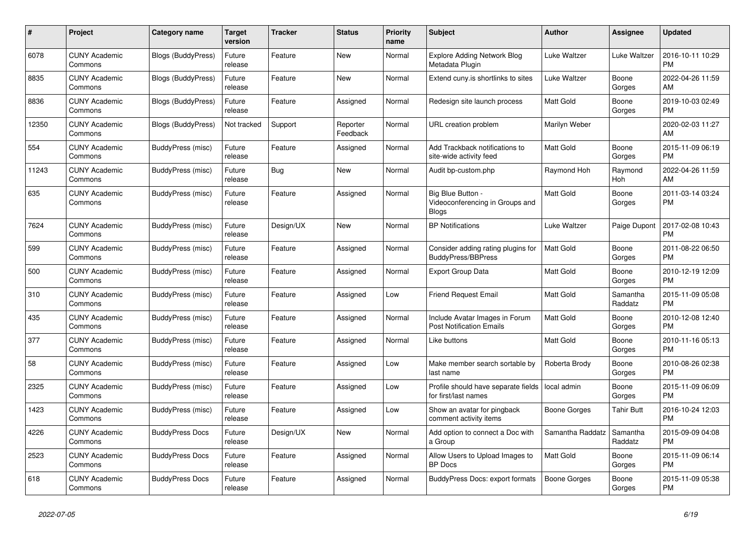| #     | Project                         | <b>Category name</b>      | <b>Target</b><br>version | <b>Tracker</b> | <b>Status</b>        | Priority<br>name | <b>Subject</b>                                                       | <b>Author</b>    | Assignee            | <b>Updated</b>                |
|-------|---------------------------------|---------------------------|--------------------------|----------------|----------------------|------------------|----------------------------------------------------------------------|------------------|---------------------|-------------------------------|
| 6078  | <b>CUNY Academic</b><br>Commons | Blogs (BuddyPress)        | Future<br>release        | Feature        | New                  | Normal           | <b>Explore Adding Network Blog</b><br>Metadata Plugin                | Luke Waltzer     | Luke Waltzer        | 2016-10-11 10:29<br><b>PM</b> |
| 8835  | <b>CUNY Academic</b><br>Commons | <b>Blogs (BuddyPress)</b> | Future<br>release        | Feature        | New                  | Normal           | Extend cuny is shortlinks to sites                                   | Luke Waltzer     | Boone<br>Gorges     | 2022-04-26 11:59<br>AM        |
| 8836  | <b>CUNY Academic</b><br>Commons | <b>Blogs (BuddyPress)</b> | Future<br>release        | Feature        | Assigned             | Normal           | Redesign site launch process                                         | <b>Matt Gold</b> | Boone<br>Gorges     | 2019-10-03 02:49<br><b>PM</b> |
| 12350 | <b>CUNY Academic</b><br>Commons | <b>Blogs (BuddyPress)</b> | Not tracked              | Support        | Reporter<br>Feedback | Normal           | URL creation problem                                                 | Marilyn Weber    |                     | 2020-02-03 11:27<br>AM        |
| 554   | <b>CUNY Academic</b><br>Commons | <b>BuddyPress (misc)</b>  | Future<br>release        | Feature        | Assigned             | Normal           | Add Trackback notifications to<br>site-wide activity feed            | Matt Gold        | Boone<br>Gorges     | 2015-11-09 06:19<br><b>PM</b> |
| 11243 | <b>CUNY Academic</b><br>Commons | BuddyPress (misc)         | Future<br>release        | Bug            | New                  | Normal           | Audit bp-custom.php                                                  | Raymond Hoh      | Raymond<br>Hoh      | 2022-04-26 11:59<br>AM        |
| 635   | <b>CUNY Academic</b><br>Commons | BuddyPress (misc)         | Future<br>release        | Feature        | Assigned             | Normal           | Big Blue Button -<br>Videoconferencing in Groups and<br><b>Blogs</b> | <b>Matt Gold</b> | Boone<br>Gorges     | 2011-03-14 03:24<br><b>PM</b> |
| 7624  | <b>CUNY Academic</b><br>Commons | BuddyPress (misc)         | Future<br>release        | Design/UX      | New                  | Normal           | <b>BP Notifications</b>                                              | Luke Waltzer     | Paige Dupont        | 2017-02-08 10:43<br><b>PM</b> |
| 599   | <b>CUNY Academic</b><br>Commons | BuddyPress (misc)         | Future<br>release        | Feature        | Assigned             | Normal           | Consider adding rating plugins for<br><b>BuddyPress/BBPress</b>      | <b>Matt Gold</b> | Boone<br>Gorges     | 2011-08-22 06:50<br><b>PM</b> |
| 500   | <b>CUNY Academic</b><br>Commons | <b>BuddyPress (misc)</b>  | Future<br>release        | Feature        | Assigned             | Normal           | Export Group Data                                                    | <b>Matt Gold</b> | Boone<br>Gorges     | 2010-12-19 12:09<br><b>PM</b> |
| 310   | <b>CUNY Academic</b><br>Commons | BuddyPress (misc)         | Future<br>release        | Feature        | Assigned             | Low              | <b>Friend Request Email</b>                                          | Matt Gold        | Samantha<br>Raddatz | 2015-11-09 05:08<br><b>PM</b> |
| 435   | <b>CUNY Academic</b><br>Commons | BuddyPress (misc)         | Future<br>release        | Feature        | Assigned             | Normal           | Include Avatar Images in Forum<br><b>Post Notification Emails</b>    | <b>Matt Gold</b> | Boone<br>Gorges     | 2010-12-08 12:40<br><b>PM</b> |
| 377   | <b>CUNY Academic</b><br>Commons | BuddyPress (misc)         | Future<br>release        | Feature        | Assigned             | Normal           | Like buttons                                                         | Matt Gold        | Boone<br>Gorges     | 2010-11-16 05:13<br><b>PM</b> |
| 58    | <b>CUNY Academic</b><br>Commons | BuddyPress (misc)         | Future<br>release        | Feature        | Assigned             | Low              | Make member search sortable by<br>last name                          | Roberta Brody    | Boone<br>Gorges     | 2010-08-26 02:38<br><b>PM</b> |
| 2325  | <b>CUNY Academic</b><br>Commons | <b>BuddyPress (misc)</b>  | Future<br>release        | Feature        | Assigned             | Low              | Profile should have separate fields<br>for first/last names          | local admin      | Boone<br>Gorges     | 2015-11-09 06:09<br><b>PM</b> |
| 1423  | <b>CUNY Academic</b><br>Commons | BuddyPress (misc)         | Future<br>release        | Feature        | Assigned             | Low              | Show an avatar for pingback<br>comment activity items                | Boone Gorges     | Tahir Butt          | 2016-10-24 12:03<br><b>PM</b> |
| 4226  | <b>CUNY Academic</b><br>Commons | <b>BuddyPress Docs</b>    | Future<br>release        | Design/UX      | New                  | Normal           | Add option to connect a Doc with<br>a Group                          | Samantha Raddatz | Samantha<br>Raddatz | 2015-09-09 04:08<br><b>PM</b> |
| 2523  | <b>CUNY Academic</b><br>Commons | <b>BuddyPress Docs</b>    | Future<br>release        | Feature        | Assigned             | Normal           | Allow Users to Upload Images to<br><b>BP</b> Docs                    | <b>Matt Gold</b> | Boone<br>Gorges     | 2015-11-09 06:14<br><b>PM</b> |
| 618   | <b>CUNY Academic</b><br>Commons | <b>BuddyPress Docs</b>    | Future<br>release        | Feature        | Assigned             | Normal           | <b>BuddyPress Docs: export formats</b>                               | Boone Gorges     | Boone<br>Gorges     | 2015-11-09 05:38<br><b>PM</b> |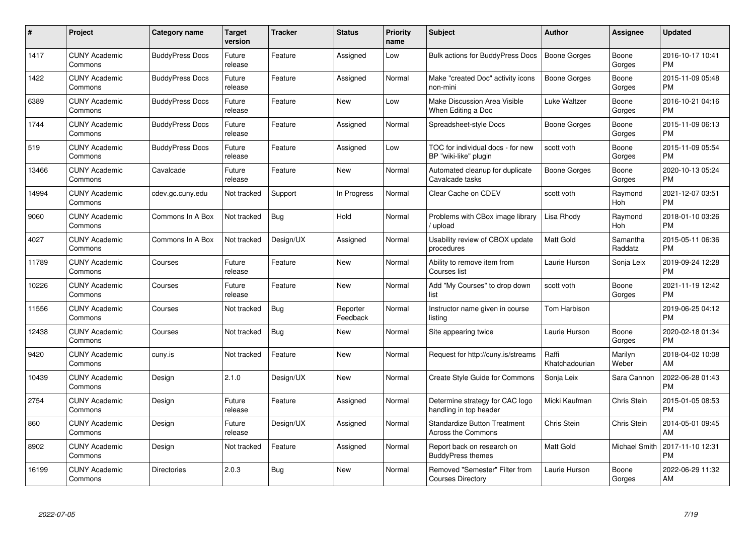| #     | Project                         | <b>Category name</b>   | Target<br>version | <b>Tracker</b> | <b>Status</b>        | Priority<br>name | <b>Subject</b>                                                   | <b>Author</b>           | <b>Assignee</b>     | <b>Updated</b>                |
|-------|---------------------------------|------------------------|-------------------|----------------|----------------------|------------------|------------------------------------------------------------------|-------------------------|---------------------|-------------------------------|
| 1417  | <b>CUNY Academic</b><br>Commons | <b>BuddyPress Docs</b> | Future<br>release | Feature        | Assigned             | Low              | <b>Bulk actions for BuddyPress Docs</b>                          | <b>Boone Gorges</b>     | Boone<br>Gorges     | 2016-10-17 10:41<br><b>PM</b> |
| 1422  | <b>CUNY Academic</b><br>Commons | <b>BuddyPress Docs</b> | Future<br>release | Feature        | Assigned             | Normal           | Make "created Doc" activity icons<br>non-mini                    | Boone Gorges            | Boone<br>Gorges     | 2015-11-09 05:48<br><b>PM</b> |
| 6389  | <b>CUNY Academic</b><br>Commons | <b>BuddyPress Docs</b> | Future<br>release | Feature        | <b>New</b>           | Low              | Make Discussion Area Visible<br>When Editing a Doc               | Luke Waltzer            | Boone<br>Gorges     | 2016-10-21 04:16<br><b>PM</b> |
| 1744  | <b>CUNY Academic</b><br>Commons | <b>BuddyPress Docs</b> | Future<br>release | Feature        | Assigned             | Normal           | Spreadsheet-style Docs                                           | Boone Gorges            | Boone<br>Gorges     | 2015-11-09 06:13<br><b>PM</b> |
| 519   | <b>CUNY Academic</b><br>Commons | <b>BuddyPress Docs</b> | Future<br>release | Feature        | Assigned             | Low              | TOC for individual docs - for new<br>BP "wiki-like" plugin       | scott voth              | Boone<br>Gorges     | 2015-11-09 05:54<br><b>PM</b> |
| 13466 | <b>CUNY Academic</b><br>Commons | Cavalcade              | Future<br>release | Feature        | <b>New</b>           | Normal           | Automated cleanup for duplicate<br>Cavalcade tasks               | Boone Gorges            | Boone<br>Gorges     | 2020-10-13 05:24<br><b>PM</b> |
| 14994 | <b>CUNY Academic</b><br>Commons | cdev.gc.cuny.edu       | Not tracked       | Support        | In Progress          | Normal           | Clear Cache on CDEV                                              | scott voth              | Raymond<br>Hoh      | 2021-12-07 03:51<br><b>PM</b> |
| 9060  | <b>CUNY Academic</b><br>Commons | Commons In A Box       | Not tracked       | Bug            | Hold                 | Normal           | Problems with CBox image library<br>/ upload                     | Lisa Rhody              | Raymond<br>Hoh      | 2018-01-10 03:26<br><b>PM</b> |
| 4027  | <b>CUNY Academic</b><br>Commons | Commons In A Box       | Not tracked       | Design/UX      | Assigned             | Normal           | Usability review of CBOX update<br>procedures                    | <b>Matt Gold</b>        | Samantha<br>Raddatz | 2015-05-11 06:36<br><b>PM</b> |
| 11789 | <b>CUNY Academic</b><br>Commons | Courses                | Future<br>release | Feature        | <b>New</b>           | Normal           | Ability to remove item from<br>Courses list                      | Laurie Hurson           | Sonja Leix          | 2019-09-24 12:28<br>PM        |
| 10226 | <b>CUNY Academic</b><br>Commons | Courses                | Future<br>release | Feature        | <b>New</b>           | Normal           | Add "My Courses" to drop down<br>list                            | scott voth              | Boone<br>Gorges     | 2021-11-19 12:42<br><b>PM</b> |
| 11556 | <b>CUNY Academic</b><br>Commons | Courses                | Not tracked       | Bug            | Reporter<br>Feedback | Normal           | Instructor name given in course<br>listing                       | Tom Harbison            |                     | 2019-06-25 04:12<br><b>PM</b> |
| 12438 | <b>CUNY Academic</b><br>Commons | Courses                | Not tracked       | <b>Bug</b>     | <b>New</b>           | Normal           | Site appearing twice                                             | Laurie Hurson           | Boone<br>Gorges     | 2020-02-18 01:34<br><b>PM</b> |
| 9420  | <b>CUNY Academic</b><br>Commons | cuny.is                | Not tracked       | Feature        | <b>New</b>           | Normal           | Request for http://cuny.is/streams                               | Raffi<br>Khatchadourian | Marilyn<br>Weber    | 2018-04-02 10:08<br>AM        |
| 10439 | <b>CUNY Academic</b><br>Commons | Design                 | 2.1.0             | Design/UX      | <b>New</b>           | Normal           | <b>Create Style Guide for Commons</b>                            | Sonja Leix              | Sara Cannon         | 2022-06-28 01:43<br><b>PM</b> |
| 2754  | <b>CUNY Academic</b><br>Commons | Design                 | Future<br>release | Feature        | Assigned             | Normal           | Determine strategy for CAC logo<br>handling in top header        | Micki Kaufman           | Chris Stein         | 2015-01-05 08:53<br><b>PM</b> |
| 860   | <b>CUNY Academic</b><br>Commons | Design                 | Future<br>release | Design/UX      | Assigned             | Normal           | <b>Standardize Button Treatment</b><br><b>Across the Commons</b> | Chris Stein             | Chris Stein         | 2014-05-01 09:45<br>AM        |
| 8902  | <b>CUNY Academic</b><br>Commons | Design                 | Not tracked       | Feature        | Assigned             | Normal           | Report back on research on<br><b>BuddyPress themes</b>           | Matt Gold               | Michael Smith       | 2017-11-10 12:31<br><b>PM</b> |
| 16199 | <b>CUNY Academic</b><br>Commons | <b>Directories</b>     | 2.0.3             | <b>Bug</b>     | New                  | Normal           | Removed "Semester" Filter from<br><b>Courses Directory</b>       | Laurie Hurson           | Boone<br>Gorges     | 2022-06-29 11:32<br>AM        |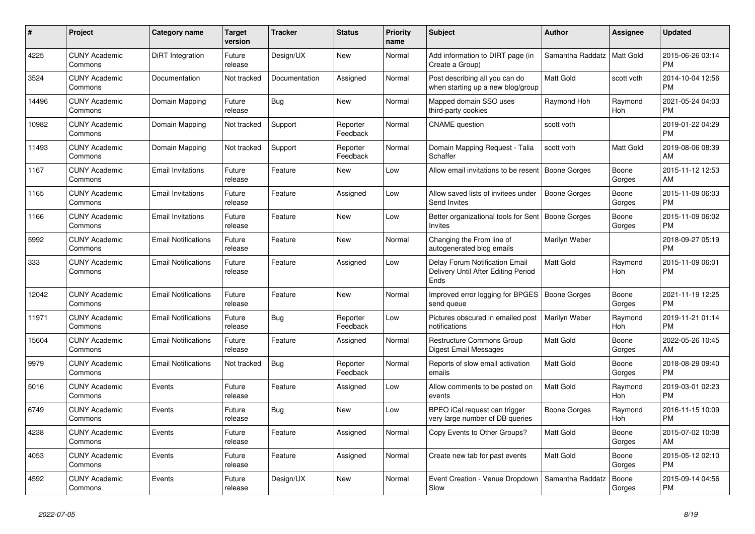| #     | Project                         | Category name              | <b>Target</b><br>version | <b>Tracker</b> | <b>Status</b>        | <b>Priority</b><br>name | <b>Subject</b>                                                                | <b>Author</b>       | Assignee        | <b>Updated</b>                |
|-------|---------------------------------|----------------------------|--------------------------|----------------|----------------------|-------------------------|-------------------------------------------------------------------------------|---------------------|-----------------|-------------------------------|
| 4225  | <b>CUNY Academic</b><br>Commons | DiRT Integration           | Future<br>release        | Design/UX      | New                  | Normal                  | Add information to DIRT page (in<br>Create a Group)                           | Samantha Raddatz    | Matt Gold       | 2015-06-26 03:14<br><b>PM</b> |
| 3524  | <b>CUNY Academic</b><br>Commons | Documentation              | Not tracked              | Documentation  | Assigned             | Normal                  | Post describing all you can do<br>when starting up a new blog/group           | Matt Gold           | scott voth      | 2014-10-04 12:56<br><b>PM</b> |
| 14496 | <b>CUNY Academic</b><br>Commons | Domain Mapping             | Future<br>release        | Bug            | New                  | Normal                  | Mapped domain SSO uses<br>third-party cookies                                 | Raymond Hoh         | Raymond<br>Hoh  | 2021-05-24 04:03<br><b>PM</b> |
| 10982 | <b>CUNY Academic</b><br>Commons | Domain Mapping             | Not tracked              | Support        | Reporter<br>Feedback | Normal                  | <b>CNAME</b> question                                                         | scott voth          |                 | 2019-01-22 04:29<br><b>PM</b> |
| 11493 | <b>CUNY Academic</b><br>Commons | Domain Mapping             | Not tracked              | Support        | Reporter<br>Feedback | Normal                  | Domain Mapping Request - Talia<br>Schaffer                                    | scott voth          | Matt Gold       | 2019-08-06 08:39<br>AM        |
| 1167  | <b>CUNY Academic</b><br>Commons | <b>Email Invitations</b>   | Future<br>release        | Feature        | New                  | Low                     | Allow email invitations to be resent                                          | <b>Boone Gorges</b> | Boone<br>Gorges | 2015-11-12 12:53<br>AM        |
| 1165  | <b>CUNY Academic</b><br>Commons | <b>Email Invitations</b>   | Future<br>release        | Feature        | Assigned             | Low                     | Allow saved lists of invitees under<br>Send Invites                           | <b>Boone Gorges</b> | Boone<br>Gorges | 2015-11-09 06:03<br><b>PM</b> |
| 1166  | <b>CUNY Academic</b><br>Commons | <b>Email Invitations</b>   | Future<br>release        | Feature        | <b>New</b>           | Low                     | Better organizational tools for Sent   Boone Gorges<br>Invites                |                     | Boone<br>Gorges | 2015-11-09 06:02<br><b>PM</b> |
| 5992  | <b>CUNY Academic</b><br>Commons | <b>Email Notifications</b> | Future<br>release        | Feature        | New                  | Normal                  | Changing the From line of<br>autogenerated blog emails                        | Marilyn Weber       |                 | 2018-09-27 05:19<br><b>PM</b> |
| 333   | <b>CUNY Academic</b><br>Commons | <b>Email Notifications</b> | Future<br>release        | Feature        | Assigned             | Low                     | Delay Forum Notification Email<br>Delivery Until After Editing Period<br>Ends | <b>Matt Gold</b>    | Raymond<br>Hoh  | 2015-11-09 06:01<br><b>PM</b> |
| 12042 | <b>CUNY Academic</b><br>Commons | <b>Email Notifications</b> | Future<br>release        | Feature        | New                  | Normal                  | Improved error logging for BPGES<br>send queue                                | <b>Boone Gorges</b> | Boone<br>Gorges | 2021-11-19 12:25<br><b>PM</b> |
| 11971 | <b>CUNY Academic</b><br>Commons | <b>Email Notifications</b> | Future<br>release        | Bug            | Reporter<br>Feedback | Low                     | Pictures obscured in emailed post<br>notifications                            | Marilyn Weber       | Raymond<br>Hoh  | 2019-11-21 01:14<br><b>PM</b> |
| 15604 | <b>CUNY Academic</b><br>Commons | <b>Email Notifications</b> | Future<br>release        | Feature        | Assigned             | Normal                  | <b>Restructure Commons Group</b><br>Digest Email Messages                     | <b>Matt Gold</b>    | Boone<br>Gorges | 2022-05-26 10:45<br>AM        |
| 9979  | <b>CUNY Academic</b><br>Commons | <b>Email Notifications</b> | Not tracked              | Bug            | Reporter<br>Feedback | Normal                  | Reports of slow email activation<br>emails                                    | Matt Gold           | Boone<br>Gorges | 2018-08-29 09:40<br><b>PM</b> |
| 5016  | <b>CUNY Academic</b><br>Commons | Events                     | Future<br>release        | Feature        | Assigned             | Low                     | Allow comments to be posted on<br>events                                      | <b>Matt Gold</b>    | Raymond<br>Hoh  | 2019-03-01 02:23<br><b>PM</b> |
| 6749  | <b>CUNY Academic</b><br>Commons | Events                     | Future<br>release        | Bug            | <b>New</b>           | Low                     | BPEO iCal request can trigger<br>very large number of DB queries              | <b>Boone Gorges</b> | Raymond<br>Hoh  | 2016-11-15 10:09<br><b>PM</b> |
| 4238  | <b>CUNY Academic</b><br>Commons | Events                     | Future<br>release        | Feature        | Assigned             | Normal                  | Copy Events to Other Groups?                                                  | <b>Matt Gold</b>    | Boone<br>Gorges | 2015-07-02 10:08<br>AM        |
| 4053  | <b>CUNY Academic</b><br>Commons | Events                     | Future<br>release        | Feature        | Assigned             | Normal                  | Create new tab for past events                                                | Matt Gold           | Boone<br>Gorges | 2015-05-12 02:10<br><b>PM</b> |
| 4592  | <b>CUNY Academic</b><br>Commons | Events                     | Future<br>release        | Design/UX      | <b>New</b>           | Normal                  | Event Creation - Venue Dropdown<br>Slow                                       | Samantha Raddatz    | Boone<br>Gorges | 2015-09-14 04:56<br><b>PM</b> |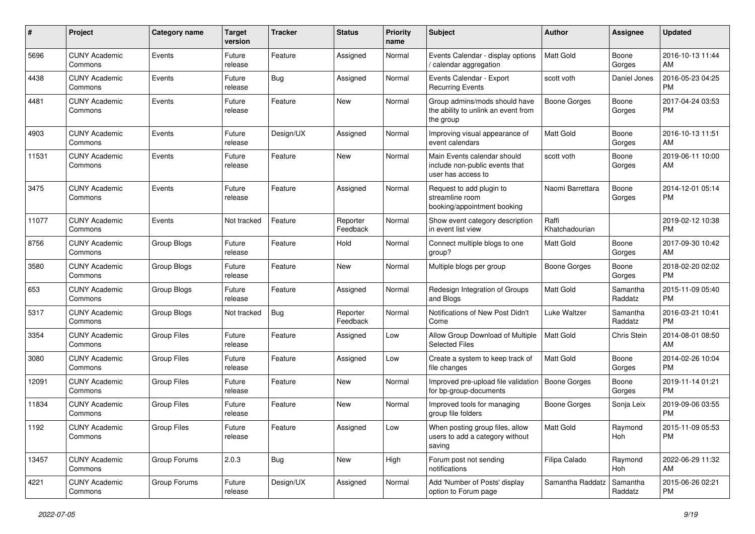| #     | Project                         | <b>Category name</b> | <b>Target</b><br>version | Tracker   | <b>Status</b>        | Priority<br>name | <b>Subject</b>                                                                      | Author                  | <b>Assignee</b>     | <b>Updated</b>                |
|-------|---------------------------------|----------------------|--------------------------|-----------|----------------------|------------------|-------------------------------------------------------------------------------------|-------------------------|---------------------|-------------------------------|
| 5696  | <b>CUNY Academic</b><br>Commons | Events               | Future<br>release        | Feature   | Assigned             | Normal           | Events Calendar - display options<br>/ calendar aggregation                         | Matt Gold               | Boone<br>Gorges     | 2016-10-13 11:44<br>AM        |
| 4438  | <b>CUNY Academic</b><br>Commons | Events               | Future<br>release        | Bug       | Assigned             | Normal           | Events Calendar - Export<br><b>Recurring Events</b>                                 | scott voth              | Daniel Jones        | 2016-05-23 04:25<br><b>PM</b> |
| 4481  | <b>CUNY Academic</b><br>Commons | Events               | Future<br>release        | Feature   | <b>New</b>           | Normal           | Group admins/mods should have<br>the ability to unlink an event from<br>the group   | <b>Boone Gorges</b>     | Boone<br>Gorges     | 2017-04-24 03:53<br><b>PM</b> |
| 4903  | <b>CUNY Academic</b><br>Commons | Events               | Future<br>release        | Design/UX | Assigned             | Normal           | Improving visual appearance of<br>event calendars                                   | Matt Gold               | Boone<br>Gorges     | 2016-10-13 11:51<br>AM        |
| 11531 | <b>CUNY Academic</b><br>Commons | Events               | Future<br>release        | Feature   | <b>New</b>           | Normal           | Main Events calendar should<br>include non-public events that<br>user has access to | scott voth              | Boone<br>Gorges     | 2019-06-11 10:00<br>AM        |
| 3475  | <b>CUNY Academic</b><br>Commons | Events               | Future<br>release        | Feature   | Assigned             | Normal           | Request to add plugin to<br>streamline room<br>booking/appointment booking          | Naomi Barrettara        | Boone<br>Gorges     | 2014-12-01 05:14<br><b>PM</b> |
| 11077 | <b>CUNY Academic</b><br>Commons | Events               | Not tracked              | Feature   | Reporter<br>Feedback | Normal           | Show event category description<br>in event list view                               | Raffi<br>Khatchadourian |                     | 2019-02-12 10:38<br><b>PM</b> |
| 8756  | <b>CUNY Academic</b><br>Commons | Group Blogs          | Future<br>release        | Feature   | Hold                 | Normal           | Connect multiple blogs to one<br>group?                                             | <b>Matt Gold</b>        | Boone<br>Gorges     | 2017-09-30 10:42<br>AM        |
| 3580  | <b>CUNY Academic</b><br>Commons | Group Blogs          | Future<br>release        | Feature   | New                  | Normal           | Multiple blogs per group                                                            | <b>Boone Gorges</b>     | Boone<br>Gorges     | 2018-02-20 02:02<br><b>PM</b> |
| 653   | <b>CUNY Academic</b><br>Commons | Group Blogs          | Future<br>release        | Feature   | Assigned             | Normal           | Redesign Integration of Groups<br>and Blogs                                         | Matt Gold               | Samantha<br>Raddatz | 2015-11-09 05:40<br><b>PM</b> |
| 5317  | <b>CUNY Academic</b><br>Commons | Group Blogs          | Not tracked              | Bug       | Reporter<br>Feedback | Normal           | Notifications of New Post Didn't<br>Come                                            | Luke Waltzer            | Samantha<br>Raddatz | 2016-03-21 10:41<br><b>PM</b> |
| 3354  | <b>CUNY Academic</b><br>Commons | <b>Group Files</b>   | Future<br>release        | Feature   | Assigned             | Low              | Allow Group Download of Multiple<br><b>Selected Files</b>                           | Matt Gold               | Chris Stein         | 2014-08-01 08:50<br>AM        |
| 3080  | <b>CUNY Academic</b><br>Commons | Group Files          | Future<br>release        | Feature   | Assigned             | Low              | Create a system to keep track of<br>file changes                                    | Matt Gold               | Boone<br>Gorges     | 2014-02-26 10:04<br><b>PM</b> |
| 12091 | <b>CUNY Academic</b><br>Commons | <b>Group Files</b>   | Future<br>release        | Feature   | <b>New</b>           | Normal           | Improved pre-upload file validation<br>for bp-group-documents                       | Boone Gorges            | Boone<br>Gorges     | 2019-11-14 01:21<br><b>PM</b> |
| 11834 | <b>CUNY Academic</b><br>Commons | <b>Group Files</b>   | Future<br>release        | Feature   | <b>New</b>           | Normal           | Improved tools for managing<br>group file folders                                   | Boone Gorges            | Sonja Leix          | 2019-09-06 03:55<br><b>PM</b> |
| 1192  | <b>CUNY Academic</b><br>Commons | Group Files          | Future<br>release        | Feature   | Assigned             | Low              | When posting group files, allow<br>users to add a category without<br>saving        | Matt Gold               | Raymond<br>Hoh      | 2015-11-09 05:53<br><b>PM</b> |
| 13457 | <b>CUNY Academic</b><br>Commons | Group Forums         | 2.0.3                    | Bug       | New                  | High             | Forum post not sending<br>notifications                                             | Filipa Calado           | Raymond<br>Hoh      | 2022-06-29 11:32<br>AM        |
| 4221  | <b>CUNY Academic</b><br>Commons | Group Forums         | Future<br>release        | Design/UX | Assigned             | Normal           | Add 'Number of Posts' display<br>option to Forum page                               | Samantha Raddatz        | Samantha<br>Raddatz | 2015-06-26 02:21<br><b>PM</b> |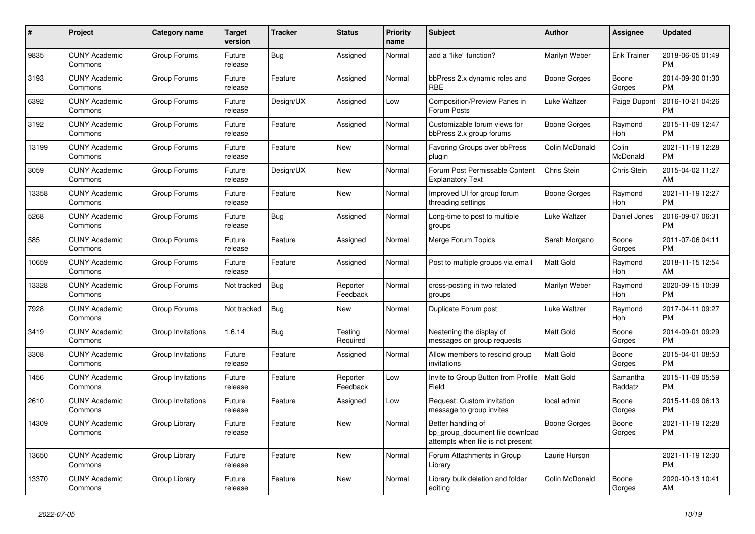| $\pmb{\#}$ | <b>Project</b>                  | <b>Category name</b> | <b>Target</b><br>version | <b>Tracker</b> | <b>Status</b>        | Priority<br>name | <b>Subject</b>                                                                             | <b>Author</b>    | Assignee            | <b>Updated</b>                |
|------------|---------------------------------|----------------------|--------------------------|----------------|----------------------|------------------|--------------------------------------------------------------------------------------------|------------------|---------------------|-------------------------------|
| 9835       | <b>CUNY Academic</b><br>Commons | Group Forums         | Future<br>release        | <b>Bug</b>     | Assigned             | Normal           | add a "like" function?                                                                     | Marilyn Weber    | <b>Erik Trainer</b> | 2018-06-05 01:49<br><b>PM</b> |
| 3193       | <b>CUNY Academic</b><br>Commons | Group Forums         | Future<br>release        | Feature        | Assigned             | Normal           | bbPress 2.x dynamic roles and<br><b>RBE</b>                                                | Boone Gorges     | Boone<br>Gorges     | 2014-09-30 01:30<br><b>PM</b> |
| 6392       | <b>CUNY Academic</b><br>Commons | Group Forums         | Future<br>release        | Design/UX      | Assigned             | Low              | Composition/Preview Panes in<br>Forum Posts                                                | Luke Waltzer     | Paige Dupont        | 2016-10-21 04:26<br><b>PM</b> |
| 3192       | <b>CUNY Academic</b><br>Commons | Group Forums         | Future<br>release        | Feature        | Assigned             | Normal           | Customizable forum views for<br>bbPress 2.x group forums                                   | Boone Gorges     | Raymond<br>Hoh      | 2015-11-09 12:47<br><b>PM</b> |
| 13199      | <b>CUNY Academic</b><br>Commons | Group Forums         | Future<br>release        | Feature        | <b>New</b>           | Normal           | Favoring Groups over bbPress<br>plugin                                                     | Colin McDonald   | Colin<br>McDonald   | 2021-11-19 12:28<br><b>PM</b> |
| 3059       | <b>CUNY Academic</b><br>Commons | Group Forums         | Future<br>release        | Design/UX      | New                  | Normal           | Forum Post Permissable Content<br><b>Explanatory Text</b>                                  | Chris Stein      | Chris Stein         | 2015-04-02 11:27<br>AM        |
| 13358      | <b>CUNY Academic</b><br>Commons | Group Forums         | Future<br>release        | Feature        | <b>New</b>           | Normal           | Improved UI for group forum<br>threading settings                                          | Boone Gorges     | Raymond<br>Hoh      | 2021-11-19 12:27<br><b>PM</b> |
| 5268       | <b>CUNY Academic</b><br>Commons | Group Forums         | Future<br>release        | Bug            | Assigned             | Normal           | Long-time to post to multiple<br>groups                                                    | Luke Waltzer     | Daniel Jones        | 2016-09-07 06:31<br><b>PM</b> |
| 585        | <b>CUNY Academic</b><br>Commons | Group Forums         | Future<br>release        | Feature        | Assigned             | Normal           | Merge Forum Topics                                                                         | Sarah Morgano    | Boone<br>Gorges     | 2011-07-06 04:11<br><b>PM</b> |
| 10659      | <b>CUNY Academic</b><br>Commons | Group Forums         | Future<br>release        | Feature        | Assigned             | Normal           | Post to multiple groups via email                                                          | <b>Matt Gold</b> | Raymond<br>Hoh      | 2018-11-15 12:54<br>AM        |
| 13328      | <b>CUNY Academic</b><br>Commons | Group Forums         | Not tracked              | Bug            | Reporter<br>Feedback | Normal           | cross-posting in two related<br>groups                                                     | Marilyn Weber    | Raymond<br>Hoh      | 2020-09-15 10:39<br><b>PM</b> |
| 7928       | <b>CUNY Academic</b><br>Commons | Group Forums         | Not tracked              | <b>Bug</b>     | New                  | Normal           | Duplicate Forum post                                                                       | Luke Waltzer     | Raymond<br>Hoh      | 2017-04-11 09:27<br><b>PM</b> |
| 3419       | <b>CUNY Academic</b><br>Commons | Group Invitations    | 1.6.14                   | Bug            | Testing<br>Required  | Normal           | Neatening the display of<br>messages on group requests                                     | <b>Matt Gold</b> | Boone<br>Gorges     | 2014-09-01 09:29<br><b>PM</b> |
| 3308       | <b>CUNY Academic</b><br>Commons | Group Invitations    | Future<br>release        | Feature        | Assigned             | Normal           | Allow members to rescind group<br>invitations                                              | <b>Matt Gold</b> | Boone<br>Gorges     | 2015-04-01 08:53<br><b>PM</b> |
| 1456       | <b>CUNY Academic</b><br>Commons | Group Invitations    | Future<br>release        | Feature        | Reporter<br>Feedback | Low              | Invite to Group Button from Profile<br>Field                                               | Matt Gold        | Samantha<br>Raddatz | 2015-11-09 05:59<br><b>PM</b> |
| 2610       | <b>CUNY Academic</b><br>Commons | Group Invitations    | Future<br>release        | Feature        | Assigned             | Low              | Request: Custom invitation<br>message to group invites                                     | local admin      | Boone<br>Gorges     | 2015-11-09 06:13<br><b>PM</b> |
| 14309      | <b>CUNY Academic</b><br>Commons | Group Library        | Future<br>release        | Feature        | <b>New</b>           | Normal           | Better handling of<br>bp_group_document file download<br>attempts when file is not present | Boone Gorges     | Boone<br>Gorges     | 2021-11-19 12:28<br><b>PM</b> |
| 13650      | <b>CUNY Academic</b><br>Commons | Group Library        | Future<br>release        | Feature        | New                  | Normal           | Forum Attachments in Group<br>Library                                                      | Laurie Hurson    |                     | 2021-11-19 12:30<br><b>PM</b> |
| 13370      | <b>CUNY Academic</b><br>Commons | Group Library        | Future<br>release        | Feature        | <b>New</b>           | Normal           | Library bulk deletion and folder<br>editing                                                | Colin McDonald   | Boone<br>Gorges     | 2020-10-13 10:41<br>AM        |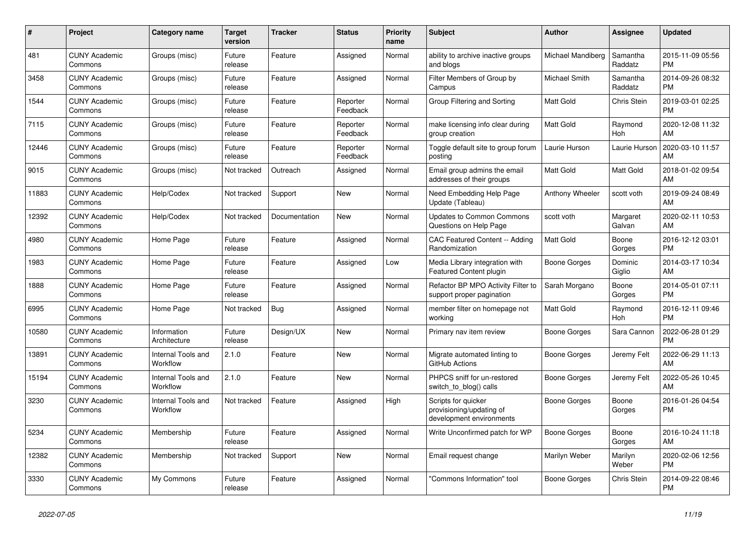| #     | Project                         | <b>Category name</b>           | Target<br>version | <b>Tracker</b> | <b>Status</b>        | <b>Priority</b><br>name | <b>Subject</b>                                                              | Author            | <b>Assignee</b>     | <b>Updated</b>                |
|-------|---------------------------------|--------------------------------|-------------------|----------------|----------------------|-------------------------|-----------------------------------------------------------------------------|-------------------|---------------------|-------------------------------|
| 481   | <b>CUNY Academic</b><br>Commons | Groups (misc)                  | Future<br>release | Feature        | Assigned             | Normal                  | ability to archive inactive groups<br>and blogs                             | Michael Mandiberg | Samantha<br>Raddatz | 2015-11-09 05:56<br><b>PM</b> |
| 3458  | <b>CUNY Academic</b><br>Commons | Groups (misc)                  | Future<br>release | Feature        | Assigned             | Normal                  | Filter Members of Group by<br>Campus                                        | Michael Smith     | Samantha<br>Raddatz | 2014-09-26 08:32<br><b>PM</b> |
| 1544  | <b>CUNY Academic</b><br>Commons | Groups (misc)                  | Future<br>release | Feature        | Reporter<br>Feedback | Normal                  | Group Filtering and Sorting                                                 | <b>Matt Gold</b>  | Chris Stein         | 2019-03-01 02:25<br><b>PM</b> |
| 7115  | <b>CUNY Academic</b><br>Commons | Groups (misc)                  | Future<br>release | Feature        | Reporter<br>Feedback | Normal                  | make licensing info clear during<br>group creation                          | <b>Matt Gold</b>  | Raymond<br>Hoh      | 2020-12-08 11:32<br>AM        |
| 12446 | <b>CUNY Academic</b><br>Commons | Groups (misc)                  | Future<br>release | Feature        | Reporter<br>Feedback | Normal                  | Toggle default site to group forum<br>posting                               | Laurie Hurson     | Laurie Hurson       | 2020-03-10 11:57<br>AM        |
| 9015  | <b>CUNY Academic</b><br>Commons | Groups (misc)                  | Not tracked       | Outreach       | Assigned             | Normal                  | Email group admins the email<br>addresses of their groups                   | Matt Gold         | Matt Gold           | 2018-01-02 09:54<br>AM        |
| 11883 | <b>CUNY Academic</b><br>Commons | Help/Codex                     | Not tracked       | Support        | <b>New</b>           | Normal                  | Need Embedding Help Page<br>Update (Tableau)                                | Anthony Wheeler   | scott voth          | 2019-09-24 08:49<br>AM        |
| 12392 | <b>CUNY Academic</b><br>Commons | Help/Codex                     | Not tracked       | Documentation  | <b>New</b>           | Normal                  | <b>Updates to Common Commons</b><br>Questions on Help Page                  | scott voth        | Margaret<br>Galvan  | 2020-02-11 10:53<br>AM        |
| 4980  | <b>CUNY Academic</b><br>Commons | Home Page                      | Future<br>release | Feature        | Assigned             | Normal                  | CAC Featured Content -- Adding<br>Randomization                             | Matt Gold         | Boone<br>Gorges     | 2016-12-12 03:01<br><b>PM</b> |
| 1983  | <b>CUNY Academic</b><br>Commons | Home Page                      | Future<br>release | Feature        | Assigned             | Low                     | Media Library integration with<br><b>Featured Content plugin</b>            | Boone Gorges      | Dominic<br>Giglio   | 2014-03-17 10:34<br>AM        |
| 1888  | <b>CUNY Academic</b><br>Commons | Home Page                      | Future<br>release | Feature        | Assigned             | Normal                  | Refactor BP MPO Activity Filter to<br>support proper pagination             | Sarah Morgano     | Boone<br>Gorges     | 2014-05-01 07:11<br><b>PM</b> |
| 6995  | <b>CUNY Academic</b><br>Commons | Home Page                      | Not tracked       | <b>Bug</b>     | Assigned             | Normal                  | member filter on homepage not<br>working                                    | Matt Gold         | Raymond<br>Hoh      | 2016-12-11 09:46<br><b>PM</b> |
| 10580 | <b>CUNY Academic</b><br>Commons | Information<br>Architecture    | Future<br>release | Design/UX      | New                  | Normal                  | Primary nav item review                                                     | Boone Gorges      | Sara Cannon         | 2022-06-28 01:29<br><b>PM</b> |
| 13891 | <b>CUNY Academic</b><br>Commons | Internal Tools and<br>Workflow | 2.1.0             | Feature        | <b>New</b>           | Normal                  | Migrate automated linting to<br>GitHub Actions                              | Boone Gorges      | Jeremy Felt         | 2022-06-29 11:13<br>AM        |
| 15194 | <b>CUNY Academic</b><br>Commons | Internal Tools and<br>Workflow | 2.1.0             | Feature        | <b>New</b>           | Normal                  | PHPCS sniff for un-restored<br>switch_to_blog() calls                       | Boone Gorges      | Jeremy Felt         | 2022-05-26 10:45<br>AM        |
| 3230  | <b>CUNY Academic</b><br>Commons | Internal Tools and<br>Workflow | Not tracked       | Feature        | Assigned             | High                    | Scripts for quicker<br>provisioning/updating of<br>development environments | Boone Gorges      | Boone<br>Gorges     | 2016-01-26 04:54<br><b>PM</b> |
| 5234  | <b>CUNY Academic</b><br>Commons | Membership                     | Future<br>release | Feature        | Assigned             | Normal                  | Write Unconfirmed patch for WP                                              | Boone Gorges      | Boone<br>Gorges     | 2016-10-24 11:18<br>AM        |
| 12382 | <b>CUNY Academic</b><br>Commons | Membership                     | Not tracked       | Support        | New                  | Normal                  | Email request change                                                        | Marilyn Weber     | Marilyn<br>Weber    | 2020-02-06 12:56<br><b>PM</b> |
| 3330  | <b>CUNY Academic</b><br>Commons | My Commons                     | Future<br>release | Feature        | Assigned             | Normal                  | "Commons Information" tool                                                  | Boone Gorges      | Chris Stein         | 2014-09-22 08:46<br><b>PM</b> |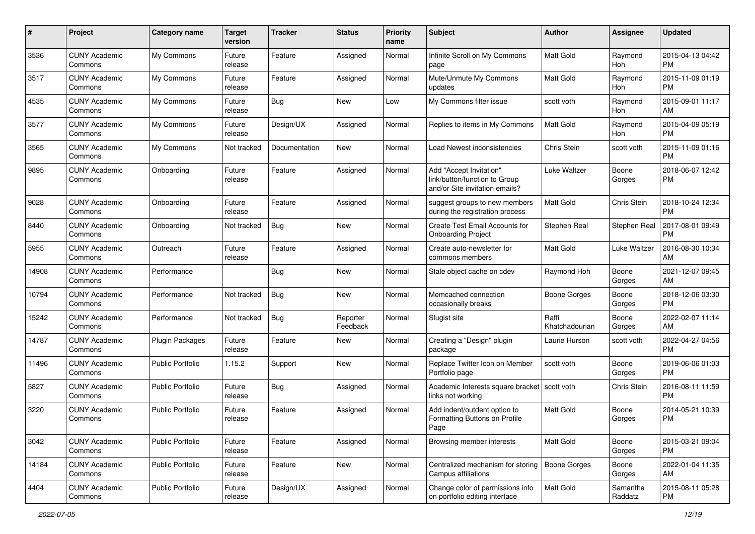| #     | Project                         | <b>Category name</b>    | <b>Target</b><br>version | <b>Tracker</b> | <b>Status</b>        | Priority<br>name | <b>Subject</b>                                                                             | Author                  | <b>Assignee</b>     | <b>Updated</b>                |
|-------|---------------------------------|-------------------------|--------------------------|----------------|----------------------|------------------|--------------------------------------------------------------------------------------------|-------------------------|---------------------|-------------------------------|
| 3536  | <b>CUNY Academic</b><br>Commons | My Commons              | Future<br>release        | Feature        | Assigned             | Normal           | Infinite Scroll on My Commons<br>page                                                      | <b>Matt Gold</b>        | Raymond<br>Hoh      | 2015-04-13 04:42<br><b>PM</b> |
| 3517  | <b>CUNY Academic</b><br>Commons | My Commons              | Future<br>release        | Feature        | Assigned             | Normal           | Mute/Unmute My Commons<br>updates                                                          | Matt Gold               | Raymond<br>Hoh      | 2015-11-09 01:19<br><b>PM</b> |
| 4535  | <b>CUNY Academic</b><br>Commons | My Commons              | Future<br>release        | Bug            | New                  | Low              | My Commons filter issue                                                                    | scott voth              | Raymond<br>Hoh      | 2015-09-01 11:17<br>AM        |
| 3577  | <b>CUNY Academic</b><br>Commons | My Commons              | Future<br>release        | Design/UX      | Assigned             | Normal           | Replies to items in My Commons                                                             | <b>Matt Gold</b>        | Raymond<br>Hoh      | 2015-04-09 05:19<br><b>PM</b> |
| 3565  | <b>CUNY Academic</b><br>Commons | My Commons              | Not tracked              | Documentation  | <b>New</b>           | Normal           | Load Newest inconsistencies                                                                | Chris Stein             | scott voth          | 2015-11-09 01:16<br><b>PM</b> |
| 9895  | <b>CUNY Academic</b><br>Commons | Onboarding              | Future<br>release        | Feature        | Assigned             | Normal           | Add "Accept Invitation"<br>link/button/function to Group<br>and/or Site invitation emails? | Luke Waltzer            | Boone<br>Gorges     | 2018-06-07 12:42<br><b>PM</b> |
| 9028  | <b>CUNY Academic</b><br>Commons | Onboarding              | Future<br>release        | Feature        | Assigned             | Normal           | suggest groups to new members<br>during the registration process                           | Matt Gold               | Chris Stein         | 2018-10-24 12:34<br><b>PM</b> |
| 8440  | <b>CUNY Academic</b><br>Commons | Onboarding              | Not tracked              | Bug            | New                  | Normal           | Create Test Email Accounts for<br><b>Onboarding Project</b>                                | Stephen Real            | <b>Stephen Real</b> | 2017-08-01 09:49<br><b>PM</b> |
| 5955  | <b>CUNY Academic</b><br>Commons | Outreach                | Future<br>release        | Feature        | Assigned             | Normal           | Create auto-newsletter for<br>commons members                                              | Matt Gold               | Luke Waltzer        | 2016-08-30 10:34<br>AM        |
| 14908 | <b>CUNY Academic</b><br>Commons | Performance             |                          | Bug            | New                  | Normal           | Stale object cache on cdev                                                                 | Raymond Hoh             | Boone<br>Gorges     | 2021-12-07 09:45<br>AM        |
| 10794 | <b>CUNY Academic</b><br>Commons | Performance             | Not tracked              | Bug            | New                  | Normal           | Memcached connection<br>occasionally breaks                                                | Boone Gorges            | Boone<br>Gorges     | 2018-12-06 03:30<br><b>PM</b> |
| 15242 | <b>CUNY Academic</b><br>Commons | Performance             | Not tracked              | Bug            | Reporter<br>Feedback | Normal           | Slugist site                                                                               | Raffi<br>Khatchadourian | Boone<br>Gorges     | 2022-02-07 11:14<br>AM        |
| 14787 | <b>CUNY Academic</b><br>Commons | Plugin Packages         | Future<br>release        | Feature        | <b>New</b>           | Normal           | Creating a "Design" plugin<br>package                                                      | Laurie Hurson           | scott voth          | 2022-04-27 04:56<br><b>PM</b> |
| 11496 | <b>CUNY Academic</b><br>Commons | <b>Public Portfolio</b> | 1.15.2                   | Support        | New                  | Normal           | Replace Twitter Icon on Member<br>Portfolio page                                           | scott voth              | Boone<br>Gorges     | 2019-06-06 01:03<br><b>PM</b> |
| 5827  | <b>CUNY Academic</b><br>Commons | Public Portfolio        | Future<br>release        | <b>Bug</b>     | Assigned             | Normal           | Academic Interests square bracket<br>links not working                                     | scott voth              | Chris Stein         | 2016-08-11 11:59<br><b>PM</b> |
| 3220  | <b>CUNY Academic</b><br>Commons | <b>Public Portfolio</b> | Future<br>release        | Feature        | Assigned             | Normal           | Add indent/outdent option to<br>Formatting Buttons on Profile<br>Page                      | <b>Matt Gold</b>        | Boone<br>Gorges     | 2014-05-21 10:39<br><b>PM</b> |
| 3042  | <b>CUNY Academic</b><br>Commons | <b>Public Portfolio</b> | Future<br>release        | Feature        | Assigned             | Normal           | Browsing member interests                                                                  | Matt Gold               | Boone<br>Gorges     | 2015-03-21 09:04<br>PM.       |
| 14184 | <b>CUNY Academic</b><br>Commons | Public Portfolio        | Future<br>release        | Feature        | New                  | Normal           | Centralized mechanism for storing<br>Campus affiliations                                   | <b>Boone Gorges</b>     | Boone<br>Gorges     | 2022-01-04 11:35<br>AM        |
| 4404  | <b>CUNY Academic</b><br>Commons | Public Portfolio        | Future<br>release        | Design/UX      | Assigned             | Normal           | Change color of permissions info<br>on portfolio editing interface                         | Matt Gold               | Samantha<br>Raddatz | 2015-08-11 05:28<br><b>PM</b> |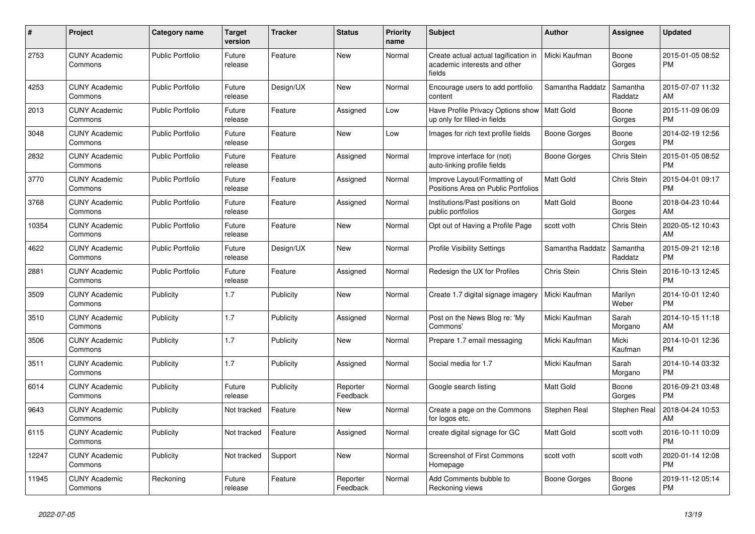| #     | <b>Project</b>                  | Category name           | Target<br>version | <b>Tracker</b> | <b>Status</b>        | <b>Priority</b><br>name | <b>Subject</b>                                                                 | <b>Author</b>    | Assignee            | <b>Updated</b>                |
|-------|---------------------------------|-------------------------|-------------------|----------------|----------------------|-------------------------|--------------------------------------------------------------------------------|------------------|---------------------|-------------------------------|
| 2753  | <b>CUNY Academic</b><br>Commons | <b>Public Portfolio</b> | Future<br>release | Feature        | New                  | Normal                  | Create actual actual tagification in<br>academic interests and other<br>fields | Micki Kaufman    | Boone<br>Gorges     | 2015-01-05 08:52<br><b>PM</b> |
| 4253  | <b>CUNY Academic</b><br>Commons | <b>Public Portfolio</b> | Future<br>release | Design/UX      | New                  | Normal                  | Encourage users to add portfolio<br>content                                    | Samantha Raddatz | Samantha<br>Raddatz | 2015-07-07 11:32<br>AM        |
| 2013  | <b>CUNY Academic</b><br>Commons | <b>Public Portfolio</b> | Future<br>release | Feature        | Assigned             | Low                     | Have Profile Privacy Options show<br>up only for filled-in fields              | Matt Gold        | Boone<br>Gorges     | 2015-11-09 06:09<br><b>PM</b> |
| 3048  | <b>CUNY Academic</b><br>Commons | <b>Public Portfolio</b> | Future<br>release | Feature        | New                  | Low                     | Images for rich text profile fields                                            | Boone Gorges     | Boone<br>Gorges     | 2014-02-19 12:56<br><b>PM</b> |
| 2832  | <b>CUNY Academic</b><br>Commons | <b>Public Portfolio</b> | Future<br>release | Feature        | Assigned             | Normal                  | Improve interface for (not)<br>auto-linking profile fields                     | Boone Gorges     | Chris Stein         | 2015-01-05 08:52<br><b>PM</b> |
| 3770  | <b>CUNY Academic</b><br>Commons | <b>Public Portfolio</b> | Future<br>release | Feature        | Assigned             | Normal                  | Improve Layout/Formatting of<br>Positions Area on Public Portfolios            | <b>Matt Gold</b> | <b>Chris Stein</b>  | 2015-04-01 09:17<br><b>PM</b> |
| 3768  | <b>CUNY Academic</b><br>Commons | <b>Public Portfolio</b> | Future<br>release | Feature        | Assigned             | Normal                  | Institutions/Past positions on<br>public portfolios                            | Matt Gold        | Boone<br>Gorges     | 2018-04-23 10:44<br>AM        |
| 10354 | <b>CUNY Academic</b><br>Commons | <b>Public Portfolio</b> | Future<br>release | Feature        | New                  | Normal                  | Opt out of Having a Profile Page                                               | scott voth       | Chris Stein         | 2020-05-12 10:43<br><b>AM</b> |
| 4622  | <b>CUNY Academic</b><br>Commons | <b>Public Portfolio</b> | Future<br>release | Design/UX      | <b>New</b>           | Normal                  | <b>Profile Visibility Settings</b>                                             | Samantha Raddatz | Samantha<br>Raddatz | 2015-09-21 12:18<br><b>PM</b> |
| 2881  | <b>CUNY Academic</b><br>Commons | <b>Public Portfolio</b> | Future<br>release | Feature        | Assigned             | Normal                  | Redesign the UX for Profiles                                                   | Chris Stein      | Chris Stein         | 2016-10-13 12:45<br><b>PM</b> |
| 3509  | <b>CUNY Academic</b><br>Commons | Publicity               | 1.7               | Publicity      | New                  | Normal                  | Create 1.7 digital signage imagery                                             | Micki Kaufman    | Marilyn<br>Weber    | 2014-10-01 12:40<br><b>PM</b> |
| 3510  | <b>CUNY Academic</b><br>Commons | Publicity               | 1.7               | Publicity      | Assigned             | Normal                  | Post on the News Blog re: 'My<br>Commons'                                      | Micki Kaufman    | Sarah<br>Morgano    | 2014-10-15 11:18<br>AM.       |
| 3506  | <b>CUNY Academic</b><br>Commons | Publicity               | 1.7               | Publicity      | <b>New</b>           | Normal                  | Prepare 1.7 email messaging                                                    | Micki Kaufman    | Micki<br>Kaufman    | 2014-10-01 12:36<br><b>PM</b> |
| 3511  | <b>CUNY Academic</b><br>Commons | Publicity               | 1.7               | Publicity      | Assigned             | Normal                  | Social media for 1.7                                                           | Micki Kaufman    | Sarah<br>Morgano    | 2014-10-14 03:32<br><b>PM</b> |
| 6014  | <b>CUNY Academic</b><br>Commons | Publicity               | Future<br>release | Publicity      | Reporter<br>Feedback | Normal                  | Google search listing                                                          | <b>Matt Gold</b> | Boone<br>Gorges     | 2016-09-21 03:48<br>PM.       |
| 9643  | <b>CUNY Academic</b><br>Commons | Publicity               | Not tracked       | Feature        | <b>New</b>           | Normal                  | Create a page on the Commons<br>for logos etc.                                 | Stephen Real     | Stephen Real        | 2018-04-24 10:53<br>AM        |
| 6115  | <b>CUNY Academic</b><br>Commons | Publicity               | Not tracked       | Feature        | Assigned             | Normal                  | create digital signage for GC                                                  | <b>Matt Gold</b> | scott voth          | 2016-10-11 10:09<br><b>PM</b> |
| 12247 | <b>CUNY Academic</b><br>Commons | Publicity               | Not tracked       | Support        | New                  | Normal                  | <b>Screenshot of First Commons</b><br>Homepage                                 | scott voth       | scott voth          | 2020-01-14 12:08<br><b>PM</b> |
| 11945 | <b>CUNY Academic</b><br>Commons | Reckoning               | Future<br>release | Feature        | Reporter<br>Feedback | Normal                  | Add Comments bubble to<br>Reckoning views                                      | Boone Gorges     | Boone<br>Gorges     | 2019-11-12 05:14<br><b>PM</b> |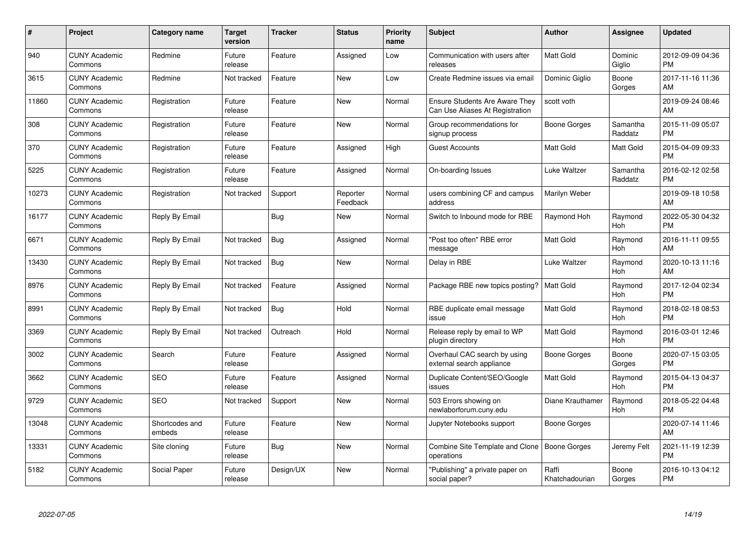| $\#$  | Project                         | <b>Category name</b>     | Target<br>version | <b>Tracker</b> | <b>Status</b>        | Priority<br>name | <b>Subject</b>                                                           | <b>Author</b>           | <b>Assignee</b>       | <b>Updated</b>                |
|-------|---------------------------------|--------------------------|-------------------|----------------|----------------------|------------------|--------------------------------------------------------------------------|-------------------------|-----------------------|-------------------------------|
| 940   | <b>CUNY Academic</b><br>Commons | Redmine                  | Future<br>release | Feature        | Assigned             | Low              | Communication with users after<br>releases                               | <b>Matt Gold</b>        | Dominic<br>Giglio     | 2012-09-09 04:36<br><b>PM</b> |
| 3615  | <b>CUNY Academic</b><br>Commons | Redmine                  | Not tracked       | Feature        | <b>New</b>           | Low              | Create Redmine issues via email                                          | Dominic Giglio          | Boone<br>Gorges       | 2017-11-16 11:36<br>AM        |
| 11860 | <b>CUNY Academic</b><br>Commons | Registration             | Future<br>release | Feature        | <b>New</b>           | Normal           | <b>Ensure Students Are Aware They</b><br>Can Use Aliases At Registration | scott voth              |                       | 2019-09-24 08:46<br>AM        |
| 308   | <b>CUNY Academic</b><br>Commons | Registration             | Future<br>release | Feature        | <b>New</b>           | Normal           | Group recommendations for<br>signup process                              | Boone Gorges            | Samantha<br>Raddatz   | 2015-11-09 05:07<br><b>PM</b> |
| 370   | <b>CUNY Academic</b><br>Commons | Registration             | Future<br>release | Feature        | Assigned             | High             | <b>Guest Accounts</b>                                                    | Matt Gold               | Matt Gold             | 2015-04-09 09:33<br><b>PM</b> |
| 5225  | <b>CUNY Academic</b><br>Commons | Registration             | Future<br>release | Feature        | Assigned             | Normal           | On-boarding Issues                                                       | Luke Waltzer            | Samantha<br>Raddatz   | 2016-02-12 02:58<br><b>PM</b> |
| 10273 | <b>CUNY Academic</b><br>Commons | Registration             | Not tracked       | Support        | Reporter<br>Feedback | Normal           | users combining CF and campus<br>address                                 | Marilyn Weber           |                       | 2019-09-18 10:58<br>AM        |
| 16177 | <b>CUNY Academic</b><br>Commons | Reply By Email           |                   | Bug            | New                  | Normal           | Switch to Inbound mode for RBE                                           | Raymond Hoh             | Raymond<br><b>Hoh</b> | 2022-05-30 04:32<br><b>PM</b> |
| 6671  | <b>CUNY Academic</b><br>Commons | Reply By Email           | Not tracked       | <b>Bug</b>     | Assigned             | Normal           | "Post too often" RBE error<br>message                                    | Matt Gold               | Raymond<br>Hoh        | 2016-11-11 09:55<br>AM        |
| 13430 | <b>CUNY Academic</b><br>Commons | Reply By Email           | Not tracked       | Bug            | <b>New</b>           | Normal           | Delay in RBE                                                             | Luke Waltzer            | Raymond<br>Hoh        | 2020-10-13 11:16<br>AM        |
| 8976  | <b>CUNY Academic</b><br>Commons | Reply By Email           | Not tracked       | Feature        | Assigned             | Normal           | Package RBE new topics posting?                                          | <b>Matt Gold</b>        | Raymond<br>Hoh        | 2017-12-04 02:34<br><b>PM</b> |
| 8991  | <b>CUNY Academic</b><br>Commons | Reply By Email           | Not tracked       | <b>Bug</b>     | Hold                 | Normal           | RBE duplicate email message<br>issue                                     | Matt Gold               | Raymond<br>Hoh        | 2018-02-18 08:53<br><b>PM</b> |
| 3369  | <b>CUNY Academic</b><br>Commons | Reply By Email           | Not tracked       | Outreach       | Hold                 | Normal           | Release reply by email to WP<br>plugin directory                         | Matt Gold               | Raymond<br>Hoh        | 2016-03-01 12:46<br><b>PM</b> |
| 3002  | <b>CUNY Academic</b><br>Commons | Search                   | Future<br>release | Feature        | Assigned             | Normal           | Overhaul CAC search by using<br>external search appliance                | Boone Gorges            | Boone<br>Gorges       | 2020-07-15 03:05<br><b>PM</b> |
| 3662  | <b>CUNY Academic</b><br>Commons | <b>SEO</b>               | Future<br>release | Feature        | Assigned             | Normal           | Duplicate Content/SEO/Google<br>issues                                   | Matt Gold               | Raymond<br>Hoh        | 2015-04-13 04:37<br><b>PM</b> |
| 9729  | <b>CUNY Academic</b><br>Commons | <b>SEO</b>               | Not tracked       | Support        | New                  | Normal           | 503 Errors showing on<br>newlaborforum.cuny.edu                          | Diane Krauthamer        | Raymond<br>Hoh        | 2018-05-22 04:48<br><b>PM</b> |
| 13048 | <b>CUNY Academic</b><br>Commons | Shortcodes and<br>embeds | Future<br>release | Feature        | New                  | Normal           | Jupyter Notebooks support                                                | Boone Gorges            |                       | 2020-07-14 11:46<br>AM        |
| 13331 | <b>CUNY Academic</b><br>Commons | Site cloning             | Future<br>release | Bug            | New                  | Normal           | Combine Site Template and Clone<br>operations                            | Boone Gorges            | Jeremy Felt           | 2021-11-19 12:39<br><b>PM</b> |
| 5182  | <b>CUNY Academic</b><br>Commons | Social Paper             | Future<br>release | Design/UX      | <b>New</b>           | Normal           | "Publishing" a private paper on<br>social paper?                         | Raffi<br>Khatchadourian | Boone<br>Gorges       | 2016-10-13 04:12<br><b>PM</b> |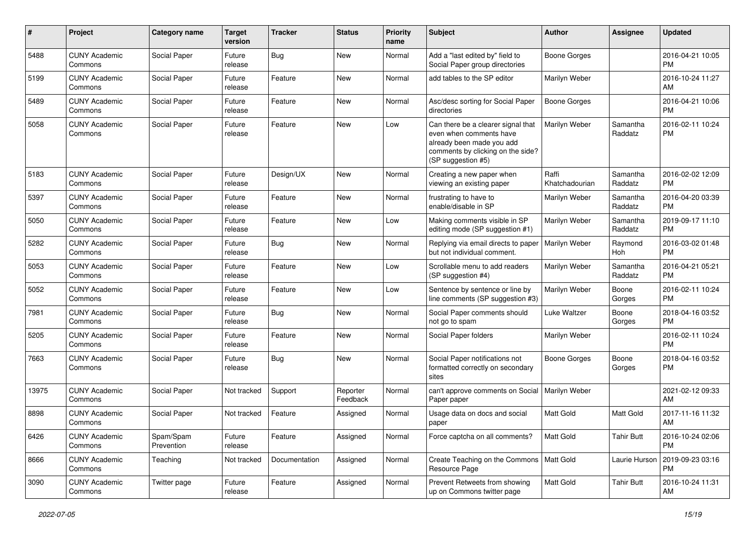| #     | Project                         | <b>Category name</b>    | <b>Target</b><br>version | <b>Tracker</b> | <b>Status</b>        | <b>Priority</b><br>name | Subject                                                                                                                                               | Author                  | <b>Assignee</b>     | <b>Updated</b>                |
|-------|---------------------------------|-------------------------|--------------------------|----------------|----------------------|-------------------------|-------------------------------------------------------------------------------------------------------------------------------------------------------|-------------------------|---------------------|-------------------------------|
| 5488  | <b>CUNY Academic</b><br>Commons | Social Paper            | Future<br>release        | Bug            | <b>New</b>           | Normal                  | Add a "last edited by" field to<br>Social Paper group directories                                                                                     | <b>Boone Gorges</b>     |                     | 2016-04-21 10:05<br><b>PM</b> |
| 5199  | <b>CUNY Academic</b><br>Commons | Social Paper            | Future<br>release        | Feature        | New                  | Normal                  | add tables to the SP editor                                                                                                                           | Marilyn Weber           |                     | 2016-10-24 11:27<br>AM        |
| 5489  | <b>CUNY Academic</b><br>Commons | Social Paper            | Future<br>release        | Feature        | <b>New</b>           | Normal                  | Asc/desc sorting for Social Paper<br>directories                                                                                                      | <b>Boone Gorges</b>     |                     | 2016-04-21 10:06<br><b>PM</b> |
| 5058  | <b>CUNY Academic</b><br>Commons | Social Paper            | Future<br>release        | Feature        | <b>New</b>           | Low                     | Can there be a clearer signal that<br>even when comments have<br>already been made you add<br>comments by clicking on the side?<br>(SP suggestion #5) | Marilyn Weber           | Samantha<br>Raddatz | 2016-02-11 10:24<br><b>PM</b> |
| 5183  | <b>CUNY Academic</b><br>Commons | Social Paper            | Future<br>release        | Design/UX      | New                  | Normal                  | Creating a new paper when<br>viewing an existing paper                                                                                                | Raffi<br>Khatchadourian | Samantha<br>Raddatz | 2016-02-02 12:09<br><b>PM</b> |
| 5397  | <b>CUNY Academic</b><br>Commons | Social Paper            | Future<br>release        | Feature        | New                  | Normal                  | frustrating to have to<br>enable/disable in SP                                                                                                        | Marilyn Weber           | Samantha<br>Raddatz | 2016-04-20 03:39<br><b>PM</b> |
| 5050  | <b>CUNY Academic</b><br>Commons | Social Paper            | Future<br>release        | Feature        | <b>New</b>           | Low                     | Making comments visible in SP<br>editing mode (SP suggestion #1)                                                                                      | Marilyn Weber           | Samantha<br>Raddatz | 2019-09-17 11:10<br><b>PM</b> |
| 5282  | <b>CUNY Academic</b><br>Commons | Social Paper            | Future<br>release        | Bug            | <b>New</b>           | Normal                  | Replying via email directs to paper<br>but not individual comment.                                                                                    | Marilyn Weber           | Raymond<br>Hoh      | 2016-03-02 01:48<br><b>PM</b> |
| 5053  | <b>CUNY Academic</b><br>Commons | Social Paper            | Future<br>release        | Feature        | New                  | Low                     | Scrollable menu to add readers<br>(SP suggestion #4)                                                                                                  | Marilyn Weber           | Samantha<br>Raddatz | 2016-04-21 05:21<br><b>PM</b> |
| 5052  | <b>CUNY Academic</b><br>Commons | Social Paper            | Future<br>release        | Feature        | <b>New</b>           | Low                     | Sentence by sentence or line by<br>line comments (SP suggestion #3)                                                                                   | Marilyn Weber           | Boone<br>Gorges     | 2016-02-11 10:24<br><b>PM</b> |
| 7981  | <b>CUNY Academic</b><br>Commons | Social Paper            | Future<br>release        | Bug            | <b>New</b>           | Normal                  | Social Paper comments should<br>not go to spam                                                                                                        | Luke Waltzer            | Boone<br>Gorges     | 2018-04-16 03:52<br><b>PM</b> |
| 5205  | <b>CUNY Academic</b><br>Commons | Social Paper            | Future<br>release        | Feature        | <b>New</b>           | Normal                  | Social Paper folders                                                                                                                                  | Marilyn Weber           |                     | 2016-02-11 10:24<br><b>PM</b> |
| 7663  | <b>CUNY Academic</b><br>Commons | Social Paper            | Future<br>release        | Bug            | New                  | Normal                  | Social Paper notifications not<br>formatted correctly on secondary<br>sites                                                                           | Boone Gorges            | Boone<br>Gorges     | 2018-04-16 03:52<br><b>PM</b> |
| 13975 | <b>CUNY Academic</b><br>Commons | Social Paper            | Not tracked              | Support        | Reporter<br>Feedback | Normal                  | can't approve comments on Social<br>Paper paper                                                                                                       | Marilyn Weber           |                     | 2021-02-12 09:33<br>AM        |
| 8898  | <b>CUNY Academic</b><br>Commons | Social Paper            | Not tracked              | Feature        | Assigned             | Normal                  | Usage data on docs and social<br>paper                                                                                                                | <b>Matt Gold</b>        | Matt Gold           | 2017-11-16 11:32<br>AM        |
| 6426  | <b>CUNY Academic</b><br>Commons | Spam/Spam<br>Prevention | Future<br>release        | Feature        | Assigned             | Normal                  | Force captcha on all comments?                                                                                                                        | <b>Matt Gold</b>        | <b>Tahir Butt</b>   | 2016-10-24 02:06<br><b>PM</b> |
| 8666  | <b>CUNY Academic</b><br>Commons | Teaching                | Not tracked              | Documentation  | Assigned             | Normal                  | Create Teaching on the Commons   Matt Gold<br>Resource Page                                                                                           |                         | Laurie Hurson       | 2019-09-23 03:16<br><b>PM</b> |
| 3090  | <b>CUNY Academic</b><br>Commons | Twitter page            | Future<br>release        | Feature        | Assigned             | Normal                  | Prevent Retweets from showing<br>up on Commons twitter page                                                                                           | Matt Gold               | <b>Tahir Butt</b>   | 2016-10-24 11:31<br>AM        |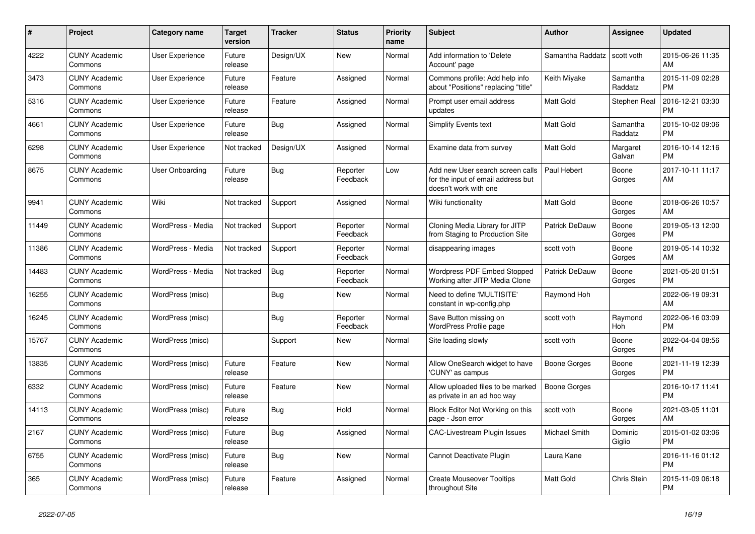| #     | <b>Project</b>                  | Category name          | Target<br>version | <b>Tracker</b> | <b>Status</b>        | <b>Priority</b><br>name | <b>Subject</b>                                                                                  | <b>Author</b>    | Assignee            | <b>Updated</b>                |
|-------|---------------------------------|------------------------|-------------------|----------------|----------------------|-------------------------|-------------------------------------------------------------------------------------------------|------------------|---------------------|-------------------------------|
| 4222  | <b>CUNY Academic</b><br>Commons | User Experience        | Future<br>release | Design/UX      | New                  | Normal                  | Add information to 'Delete<br>Account' page                                                     | Samantha Raddatz | scott voth          | 2015-06-26 11:35<br>AM        |
| 3473  | <b>CUNY Academic</b><br>Commons | <b>User Experience</b> | Future<br>release | Feature        | Assigned             | Normal                  | Commons profile: Add help info<br>about "Positions" replacing "title"                           | Keith Miyake     | Samantha<br>Raddatz | 2015-11-09 02:28<br><b>PM</b> |
| 5316  | <b>CUNY Academic</b><br>Commons | User Experience        | Future<br>release | Feature        | Assigned             | Normal                  | Prompt user email address<br>updates                                                            | Matt Gold        | Stephen Real        | 2016-12-21 03:30<br><b>PM</b> |
| 4661  | <b>CUNY Academic</b><br>Commons | User Experience        | Future<br>release | Bug            | Assigned             | Normal                  | <b>Simplify Events text</b>                                                                     | Matt Gold        | Samantha<br>Raddatz | 2015-10-02 09:06<br><b>PM</b> |
| 6298  | <b>CUNY Academic</b><br>Commons | User Experience        | Not tracked       | Design/UX      | Assigned             | Normal                  | Examine data from survey                                                                        | Matt Gold        | Margaret<br>Galvan  | 2016-10-14 12:16<br>PM.       |
| 8675  | <b>CUNY Academic</b><br>Commons | User Onboarding        | Future<br>release | Bug            | Reporter<br>Feedback | Low                     | Add new User search screen calls<br>for the input of email address but<br>doesn't work with one | Paul Hebert      | Boone<br>Gorges     | 2017-10-11 11:17<br>AM        |
| 9941  | <b>CUNY Academic</b><br>Commons | Wiki                   | Not tracked       | Support        | Assigned             | Normal                  | Wiki functionality                                                                              | Matt Gold        | Boone<br>Gorges     | 2018-06-26 10:57<br>AM        |
| 11449 | <b>CUNY Academic</b><br>Commons | WordPress - Media      | Not tracked       | Support        | Reporter<br>Feedback | Normal                  | Cloning Media Library for JITP<br>from Staging to Production Site                               | Patrick DeDauw   | Boone<br>Gorges     | 2019-05-13 12:00<br><b>PM</b> |
| 11386 | <b>CUNY Academic</b><br>Commons | WordPress - Media      | Not tracked       | Support        | Reporter<br>Feedback | Normal                  | disappearing images                                                                             | scott voth       | Boone<br>Gorges     | 2019-05-14 10:32<br>AM        |
| 14483 | <b>CUNY Academic</b><br>Commons | WordPress - Media      | Not tracked       | Bug            | Reporter<br>Feedback | Normal                  | <b>Wordpress PDF Embed Stopped</b><br>Working after JITP Media Clone                            | Patrick DeDauw   | Boone<br>Gorges     | 2021-05-20 01:51<br><b>PM</b> |
| 16255 | <b>CUNY Academic</b><br>Commons | WordPress (misc)       |                   | Bug            | New                  | Normal                  | Need to define 'MULTISITE'<br>constant in wp-config.php                                         | Raymond Hoh      |                     | 2022-06-19 09:31<br>AM        |
| 16245 | <b>CUNY Academic</b><br>Commons | WordPress (misc)       |                   | <b>Bug</b>     | Reporter<br>Feedback | Normal                  | Save Button missing on<br><b>WordPress Profile page</b>                                         | scott voth       | Raymond<br>Hoh      | 2022-06-16 03:09<br><b>PM</b> |
| 15767 | <b>CUNY Academic</b><br>Commons | WordPress (misc)       |                   | Support        | <b>New</b>           | Normal                  | Site loading slowly                                                                             | scott voth       | Boone<br>Gorges     | 2022-04-04 08:56<br><b>PM</b> |
| 13835 | <b>CUNY Academic</b><br>Commons | WordPress (misc)       | Future<br>release | Feature        | New                  | Normal                  | Allow OneSearch widget to have<br>'CUNY' as campus                                              | Boone Gorges     | Boone<br>Gorges     | 2021-11-19 12:39<br><b>PM</b> |
| 6332  | <b>CUNY Academic</b><br>Commons | WordPress (misc)       | Future<br>release | Feature        | New                  | Normal                  | Allow uploaded files to be marked<br>as private in an ad hoc way                                | Boone Gorges     |                     | 2016-10-17 11:41<br><b>PM</b> |
| 14113 | <b>CUNY Academic</b><br>Commons | WordPress (misc)       | Future<br>release | <b>Bug</b>     | Hold                 | Normal                  | Block Editor Not Working on this<br>page - Json error                                           | scott voth       | Boone<br>Gorges     | 2021-03-05 11:01<br>AM        |
| 2167  | <b>CUNY Academic</b><br>Commons | WordPress (misc)       | Future<br>release | Bug            | Assigned             | Normal                  | <b>CAC-Livestream Plugin Issues</b>                                                             | Michael Smith    | Dominic<br>Giglio   | 2015-01-02 03:06<br><b>PM</b> |
| 6755  | <b>CUNY Academic</b><br>Commons | WordPress (misc)       | Future<br>release | <b>Bug</b>     | New                  | Normal                  | Cannot Deactivate Plugin                                                                        | Laura Kane       |                     | 2016-11-16 01:12<br><b>PM</b> |
| 365   | <b>CUNY Academic</b><br>Commons | WordPress (misc)       | Future<br>release | Feature        | Assigned             | Normal                  | <b>Create Mouseover Tooltips</b><br>throughout Site                                             | Matt Gold        | Chris Stein         | 2015-11-09 06:18<br><b>PM</b> |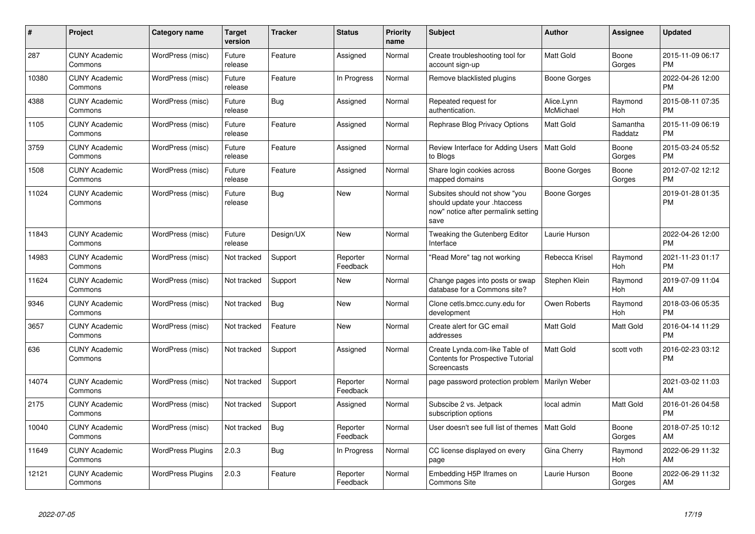| #     | Project                         | Category name            | <b>Target</b><br>version | <b>Tracker</b> | <b>Status</b>        | <b>Priority</b><br>name | <b>Subject</b>                                                                                               | <b>Author</b>           | Assignee              | <b>Updated</b>                |
|-------|---------------------------------|--------------------------|--------------------------|----------------|----------------------|-------------------------|--------------------------------------------------------------------------------------------------------------|-------------------------|-----------------------|-------------------------------|
| 287   | <b>CUNY Academic</b><br>Commons | WordPress (misc)         | Future<br>release        | Feature        | Assigned             | Normal                  | Create troubleshooting tool for<br>account sign-up                                                           | <b>Matt Gold</b>        | Boone<br>Gorges       | 2015-11-09 06:17<br><b>PM</b> |
| 10380 | <b>CUNY Academic</b><br>Commons | WordPress (misc)         | Future<br>release        | Feature        | In Progress          | Normal                  | Remove blacklisted plugins                                                                                   | <b>Boone Gorges</b>     |                       | 2022-04-26 12:00<br><b>PM</b> |
| 4388  | <b>CUNY Academic</b><br>Commons | WordPress (misc)         | Future<br>release        | Bug            | Assigned             | Normal                  | Repeated request for<br>authentication.                                                                      | Alice.Lynn<br>McMichael | Raymond<br>Hoh        | 2015-08-11 07:35<br><b>PM</b> |
| 1105  | <b>CUNY Academic</b><br>Commons | WordPress (misc)         | Future<br>release        | Feature        | Assigned             | Normal                  | Rephrase Blog Privacy Options                                                                                | <b>Matt Gold</b>        | Samantha<br>Raddatz   | 2015-11-09 06:19<br><b>PM</b> |
| 3759  | <b>CUNY Academic</b><br>Commons | WordPress (misc)         | Future<br>release        | Feature        | Assigned             | Normal                  | Review Interface for Adding Users<br>to Blogs                                                                | <b>Matt Gold</b>        | Boone<br>Gorges       | 2015-03-24 05:52<br>PM        |
| 1508  | <b>CUNY Academic</b><br>Commons | WordPress (misc)         | Future<br>release        | Feature        | Assigned             | Normal                  | Share login cookies across<br>mapped domains                                                                 | Boone Gorges            | Boone<br>Gorges       | 2012-07-02 12:12<br><b>PM</b> |
| 11024 | <b>CUNY Academic</b><br>Commons | WordPress (misc)         | Future<br>release        | Bug            | <b>New</b>           | Normal                  | Subsites should not show "you<br>should update your .htaccess<br>now" notice after permalink setting<br>save | <b>Boone Gorges</b>     |                       | 2019-01-28 01:35<br>PM        |
| 11843 | <b>CUNY Academic</b><br>Commons | WordPress (misc)         | Future<br>release        | Design/UX      | <b>New</b>           | Normal                  | Tweaking the Gutenberg Editor<br>Interface                                                                   | Laurie Hurson           |                       | 2022-04-26 12:00<br>PM        |
| 14983 | <b>CUNY Academic</b><br>Commons | WordPress (misc)         | Not tracked              | Support        | Reporter<br>Feedback | Normal                  | 'Read More" tag not working                                                                                  | Rebecca Krisel          | Raymond<br><b>Hoh</b> | 2021-11-23 01:17<br><b>PM</b> |
| 11624 | <b>CUNY Academic</b><br>Commons | WordPress (misc)         | Not tracked              | Support        | New                  | Normal                  | Change pages into posts or swap<br>database for a Commons site?                                              | Stephen Klein           | Raymond<br><b>Hoh</b> | 2019-07-09 11:04<br>AM        |
| 9346  | <b>CUNY Academic</b><br>Commons | WordPress (misc)         | Not tracked              | Bug            | <b>New</b>           | Normal                  | Clone cetls.bmcc.cuny.edu for<br>development                                                                 | Owen Roberts            | Raymond<br>Hoh        | 2018-03-06 05:35<br><b>PM</b> |
| 3657  | <b>CUNY Academic</b><br>Commons | WordPress (misc)         | Not tracked              | Feature        | <b>New</b>           | Normal                  | Create alert for GC email<br>addresses                                                                       | Matt Gold               | Matt Gold             | 2016-04-14 11:29<br><b>PM</b> |
| 636   | <b>CUNY Academic</b><br>Commons | WordPress (misc)         | Not tracked              | Support        | Assigned             | Normal                  | Create Lynda.com-like Table of<br><b>Contents for Prospective Tutorial</b><br>Screencasts                    | Matt Gold               | scott voth            | 2016-02-23 03:12<br><b>PM</b> |
| 14074 | <b>CUNY Academic</b><br>Commons | WordPress (misc)         | Not tracked              | Support        | Reporter<br>Feedback | Normal                  | page password protection problem                                                                             | Marilyn Weber           |                       | 2021-03-02 11:03<br>AM        |
| 2175  | <b>CUNY Academic</b><br>Commons | WordPress (misc)         | Not tracked              | Support        | Assigned             | Normal                  | Subscibe 2 vs. Jetpack<br>subscription options                                                               | local admin             | <b>Matt Gold</b>      | 2016-01-26 04:58<br><b>PM</b> |
| 10040 | <b>CUNY Academic</b><br>Commons | WordPress (misc)         | Not tracked              | Bug            | Reporter<br>Feedback | Normal                  | User doesn't see full list of themes                                                                         | <b>Matt Gold</b>        | Boone<br>Gorges       | 2018-07-25 10:12<br>AM        |
| 11649 | <b>CUNY Academic</b><br>Commons | <b>WordPress Plugins</b> | 2.0.3                    | Bug            | In Progress          | Normal                  | CC license displayed on every<br>page                                                                        | Gina Cherry             | Raymond<br>Hoh        | 2022-06-29 11:32<br>AM        |
| 12121 | <b>CUNY Academic</b><br>Commons | <b>WordPress Plugins</b> | 2.0.3                    | Feature        | Reporter<br>Feedback | Normal                  | Embedding H5P Iframes on<br><b>Commons Site</b>                                                              | Laurie Hurson           | Boone<br>Gorges       | 2022-06-29 11:32<br>AM        |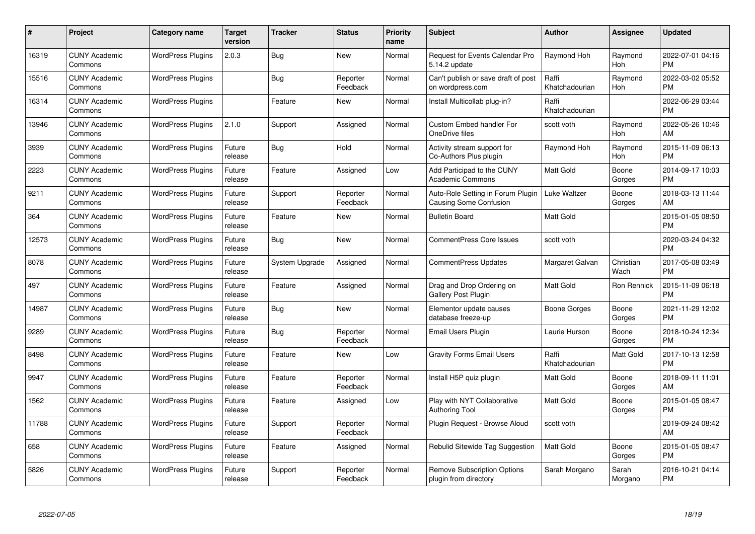| #     | Project                         | <b>Category name</b>     | <b>Target</b><br>version | <b>Tracker</b> | <b>Status</b>        | Priority<br>name | <b>Subject</b>                                              | <b>Author</b>           | <b>Assignee</b>   | <b>Updated</b>                |
|-------|---------------------------------|--------------------------|--------------------------|----------------|----------------------|------------------|-------------------------------------------------------------|-------------------------|-------------------|-------------------------------|
| 16319 | <b>CUNY Academic</b><br>Commons | <b>WordPress Plugins</b> | 2.0.3                    | Bug            | <b>New</b>           | Normal           | <b>Request for Events Calendar Pro</b><br>5.14.2 update     | Raymond Hoh             | Raymond<br>Hoh    | 2022-07-01 04:16<br><b>PM</b> |
| 15516 | <b>CUNY Academic</b><br>Commons | <b>WordPress Plugins</b> |                          | Bug            | Reporter<br>Feedback | Normal           | Can't publish or save draft of post<br>on wordpress.com     | Raffi<br>Khatchadourian | Raymond<br>Hoh    | 2022-03-02 05:52<br><b>PM</b> |
| 16314 | <b>CUNY Academic</b><br>Commons | <b>WordPress Plugins</b> |                          | Feature        | <b>New</b>           | Normal           | Install Multicollab plug-in?                                | Raffi<br>Khatchadourian |                   | 2022-06-29 03:44<br><b>PM</b> |
| 13946 | <b>CUNY Academic</b><br>Commons | <b>WordPress Plugins</b> | 2.1.0                    | Support        | Assigned             | Normal           | <b>Custom Embed handler For</b><br>OneDrive files           | scott voth              | Raymond<br>Hoh    | 2022-05-26 10:46<br>AM        |
| 3939  | <b>CUNY Academic</b><br>Commons | <b>WordPress Plugins</b> | Future<br>release        | Bug            | Hold                 | Normal           | Activity stream support for<br>Co-Authors Plus plugin       | Raymond Hoh             | Raymond<br>Hoh    | 2015-11-09 06:13<br><b>PM</b> |
| 2223  | <b>CUNY Academic</b><br>Commons | <b>WordPress Plugins</b> | Future<br>release        | Feature        | Assigned             | Low              | Add Participad to the CUNY<br><b>Academic Commons</b>       | <b>Matt Gold</b>        | Boone<br>Gorges   | 2014-09-17 10:03<br><b>PM</b> |
| 9211  | <b>CUNY Academic</b><br>Commons | <b>WordPress Plugins</b> | Future<br>release        | Support        | Reporter<br>Feedback | Normal           | Auto-Role Setting in Forum Plugin<br>Causing Some Confusion | Luke Waltzer            | Boone<br>Gorges   | 2018-03-13 11:44<br>AM        |
| 364   | <b>CUNY Academic</b><br>Commons | <b>WordPress Plugins</b> | Future<br>release        | Feature        | New                  | Normal           | <b>Bulletin Board</b>                                       | <b>Matt Gold</b>        |                   | 2015-01-05 08:50<br><b>PM</b> |
| 12573 | <b>CUNY Academic</b><br>Commons | <b>WordPress Plugins</b> | Future<br>release        | Bug            | New                  | Normal           | CommentPress Core Issues                                    | scott voth              |                   | 2020-03-24 04:32<br><b>PM</b> |
| 8078  | <b>CUNY Academic</b><br>Commons | <b>WordPress Plugins</b> | Future<br>release        | System Upgrade | Assigned             | Normal           | CommentPress Updates                                        | Margaret Galvan         | Christian<br>Wach | 2017-05-08 03:49<br><b>PM</b> |
| 497   | <b>CUNY Academic</b><br>Commons | <b>WordPress Plugins</b> | Future<br>release        | Feature        | Assigned             | Normal           | Drag and Drop Ordering on<br>Gallery Post Plugin            | Matt Gold               | Ron Rennick       | 2015-11-09 06:18<br><b>PM</b> |
| 14987 | <b>CUNY Academic</b><br>Commons | <b>WordPress Plugins</b> | Future<br>release        | <b>Bug</b>     | New                  | Normal           | Elementor update causes<br>database freeze-up               | Boone Gorges            | Boone<br>Gorges   | 2021-11-29 12:02<br><b>PM</b> |
| 9289  | <b>CUNY Academic</b><br>Commons | <b>WordPress Plugins</b> | Future<br>release        | Bug            | Reporter<br>Feedback | Normal           | Email Users Plugin                                          | Laurie Hurson           | Boone<br>Gorges   | 2018-10-24 12:34<br><b>PM</b> |
| 8498  | <b>CUNY Academic</b><br>Commons | <b>WordPress Plugins</b> | Future<br>release        | Feature        | New                  | Low              | <b>Gravity Forms Email Users</b>                            | Raffi<br>Khatchadourian | Matt Gold         | 2017-10-13 12:58<br><b>PM</b> |
| 9947  | <b>CUNY Academic</b><br>Commons | <b>WordPress Plugins</b> | Future<br>release        | Feature        | Reporter<br>Feedback | Normal           | Install H5P quiz plugin                                     | Matt Gold               | Boone<br>Gorges   | 2018-09-11 11:01<br>AM        |
| 1562  | <b>CUNY Academic</b><br>Commons | <b>WordPress Plugins</b> | Future<br>release        | Feature        | Assigned             | Low              | Play with NYT Collaborative<br>Authoring Tool               | <b>Matt Gold</b>        | Boone<br>Gorges   | 2015-01-05 08:47<br><b>PM</b> |
| 11788 | <b>CUNY Academic</b><br>Commons | <b>WordPress Plugins</b> | Future<br>release        | Support        | Reporter<br>Feedback | Normal           | Plugin Request - Browse Aloud                               | scott voth              |                   | 2019-09-24 08:42<br>AM        |
| 658   | <b>CUNY Academic</b><br>Commons | <b>WordPress Plugins</b> | Future<br>release        | Feature        | Assigned             | Normal           | Rebulid Sitewide Tag Suggestion                             | <b>Matt Gold</b>        | Boone<br>Gorges   | 2015-01-05 08:47<br><b>PM</b> |
| 5826  | CUNY Academic<br>Commons        | <b>WordPress Plugins</b> | Future<br>release        | Support        | Reporter<br>Feedback | Normal           | <b>Remove Subscription Options</b><br>plugin from directory | Sarah Morgano           | Sarah<br>Morgano  | 2016-10-21 04:14<br><b>PM</b> |